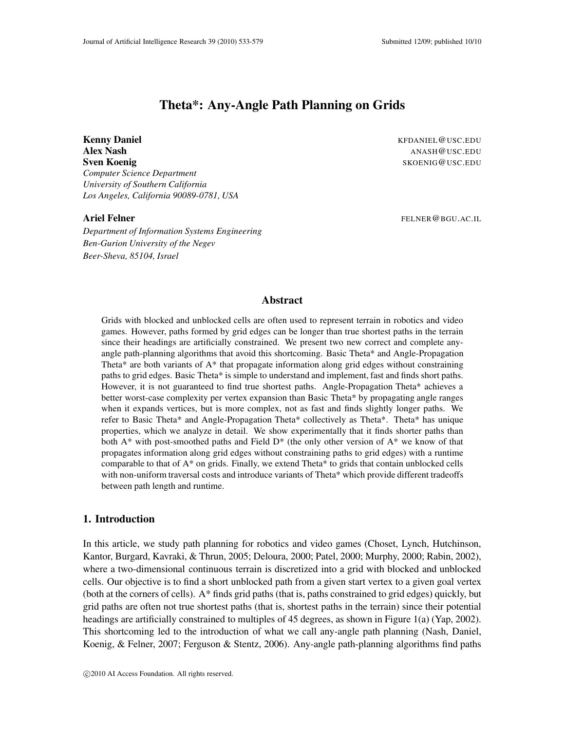# **Theta\*: Any-Angle Path Planning on Grids**

**Kenny Daniel** KFDANIEL @USC.EDU **Alex Nash** ANASH @USC.EDU **Sven Koenig** SKOENIG@USC.EDU *Computer Science Department University of Southern California Los Angeles, California 90089-0781, USA*

*Department of Information Systems Engineering Ben-Gurion University of the Negev Beer-Sheva, 85104, Israel*

**Ariel Felner** FELNER @BGU.AC.IL

## **Abstract**

Grids with blocked and unblocked cells are often used to represent terrain in robotics and video games. However, paths formed by grid edges can be longer than true shortest paths in the terrain since their headings are artificially constrained. We present two new correct and complete anyangle path-planning algorithms that avoid this shortcoming. Basic Theta\* and Angle-Propagation Theta\* are both variants of A\* that propagate information along grid edges without constraining paths to grid edges. Basic Theta\* is simple to understand and implement, fast and finds short paths. However, it is not guaranteed to find true shortest paths. Angle-Propagation Theta\* achieves a better worst-case complexity per vertex expansion than Basic Theta\* by propagating angle ranges when it expands vertices, but is more complex, not as fast and finds slightly longer paths. We refer to Basic Theta\* and Angle-Propagation Theta\* collectively as Theta\*. Theta\* has unique properties, which we analyze in detail. We show experimentally that it finds shorter paths than both  $A^*$  with post-smoothed paths and Field  $D^*$  (the only other version of  $A^*$  we know of that propagates information along grid edges without constraining paths to grid edges) with a runtime comparable to that of  $A^*$  on grids. Finally, we extend Theta\* to grids that contain unblocked cells with non-uniform traversal costs and introduce variants of Theta\* which provide different tradeoffs between path length and runtime.

#### **1. Introduction**

In this article, we study path planning for robotics and video games (Choset, Lynch, Hutchinson, Kantor, Burgard, Kavraki, & Thrun, 2005; Deloura, 2000; Patel, 2000; Murphy, 2000; Rabin, 2002), where a two-dimensional continuous terrain is discretized into a grid with blocked and unblocked cells. Our objective is to find a short unblocked path from a given start vertex to a given goal vertex (both at the corners of cells). A\* finds grid paths (that is, paths constrained to grid edges) quickly, but grid paths are often not true shortest paths (that is, shortest paths in the terrain) since their potential headings are artificially constrained to multiples of 45 degrees, as shown in Figure 1(a) (Yap, 2002). This shortcoming led to the introduction of what we call any-angle path planning (Nash, Daniel, Koenig, & Felner, 2007; Ferguson & Stentz, 2006). Any-angle path-planning algorithms find paths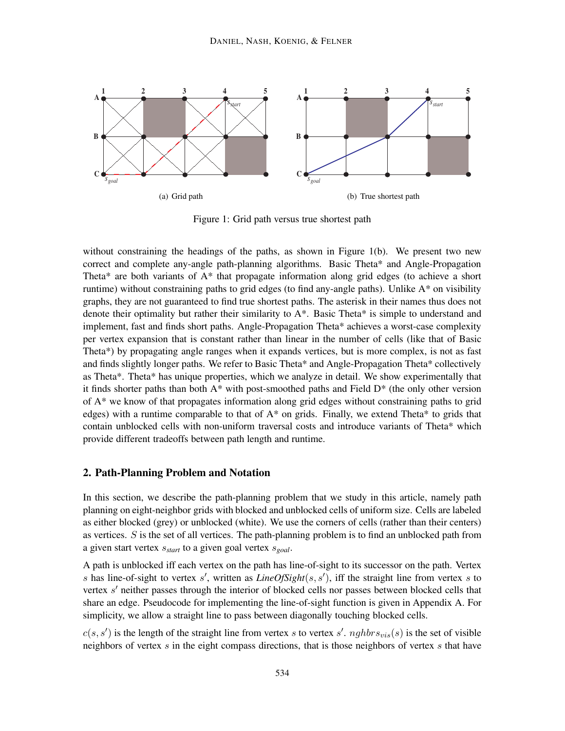

Figure 1: Grid path versus true shortest path

without constraining the headings of the paths, as shown in Figure 1(b). We present two new correct and complete any-angle path-planning algorithms. Basic Theta\* and Angle-Propagation Theta\* are both variants of A\* that propagate information along grid edges (to achieve a short runtime) without constraining paths to grid edges (to find any-angle paths). Unlike A\* on visibility graphs, they are not guaranteed to find true shortest paths. The asterisk in their names thus does not denote their optimality but rather their similarity to A\*. Basic Theta\* is simple to understand and implement, fast and finds short paths. Angle-Propagation Theta\* achieves a worst-case complexity per vertex expansion that is constant rather than linear in the number of cells (like that of Basic Theta\*) by propagating angle ranges when it expands vertices, but is more complex, is not as fast and finds slightly longer paths. We refer to Basic Theta\* and Angle-Propagation Theta\* collectively as Theta\*. Theta\* has unique properties, which we analyze in detail. We show experimentally that it finds shorter paths than both A\* with post-smoothed paths and Field D\* (the only other version of A\* we know of that propagates information along grid edges without constraining paths to grid edges) with a runtime comparable to that of  $A^*$  on grids. Finally, we extend Theta\* to grids that contain unblocked cells with non-uniform traversal costs and introduce variants of Theta\* which provide different tradeoffs between path length and runtime.

#### **2. Path-Planning Problem and Notation**

In this section, we describe the path-planning problem that we study in this article, namely path planning on eight-neighbor grids with blocked and unblocked cells of uniform size. Cells are labeled as either blocked (grey) or unblocked (white). We use the corners of cells (rather than their centers) as vertices.  $S$  is the set of all vertices. The path-planning problem is to find an unblocked path from a given start vertex s*start* to a given goal vertex s*goal*.

A path is unblocked iff each vertex on the path has line-of-sight to its successor on the path. Vertex s has line-of-sight to vertex s', written as  $LineOfRight(s, s')$ , iff the straight line from vertex s to vertex s' neither passes through the interior of blocked cells nor passes between blocked cells that share an edge. Pseudocode for implementing the line-of-sight function is given in Appendix A. For simplicity, we allow a straight line to pass between diagonally touching blocked cells.

 $c(s, s')$  is the length of the straight line from vertex s to vertex s'.  $nghbr s_{vis}(s)$  is the set of visible neighbors of vertex  $s$  in the eight compass directions, that is those neighbors of vertex  $s$  that have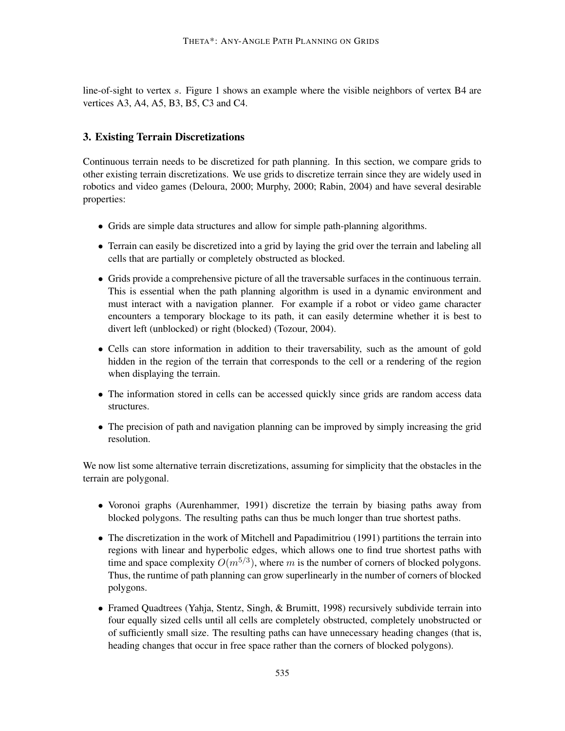line-of-sight to vertex s. Figure 1 shows an example where the visible neighbors of vertex B4 are vertices A3, A4, A5, B3, B5, C3 and C4.

## **3. Existing Terrain Discretizations**

Continuous terrain needs to be discretized for path planning. In this section, we compare grids to other existing terrain discretizations. We use grids to discretize terrain since they are widely used in robotics and video games (Deloura, 2000; Murphy, 2000; Rabin, 2004) and have several desirable properties:

- Grids are simple data structures and allow for simple path-planning algorithms.
- Terrain can easily be discretized into a grid by laying the grid over the terrain and labeling all cells that are partially or completely obstructed as blocked.
- Grids provide a comprehensive picture of all the traversable surfaces in the continuous terrain. This is essential when the path planning algorithm is used in a dynamic environment and must interact with a navigation planner. For example if a robot or video game character encounters a temporary blockage to its path, it can easily determine whether it is best to divert left (unblocked) or right (blocked) (Tozour, 2004).
- Cells can store information in addition to their traversability, such as the amount of gold hidden in the region of the terrain that corresponds to the cell or a rendering of the region when displaying the terrain.
- The information stored in cells can be accessed quickly since grids are random access data structures.
- The precision of path and navigation planning can be improved by simply increasing the grid resolution.

We now list some alternative terrain discretizations, assuming for simplicity that the obstacles in the terrain are polygonal.

- Voronoi graphs (Aurenhammer, 1991) discretize the terrain by biasing paths away from blocked polygons. The resulting paths can thus be much longer than true shortest paths.
- The discretization in the work of Mitchell and Papadimitriou (1991) partitions the terrain into regions with linear and hyperbolic edges, which allows one to find true shortest paths with time and space complexity  $O(m^{5/3})$ , where m is the number of corners of blocked polygons. Thus, the runtime of path planning can grow superlinearly in the number of corners of blocked polygons.
- Framed Quadtrees (Yahja, Stentz, Singh, & Brumitt, 1998) recursively subdivide terrain into four equally sized cells until all cells are completely obstructed, completely unobstructed or of sufficiently small size. The resulting paths can have unnecessary heading changes (that is, heading changes that occur in free space rather than the corners of blocked polygons).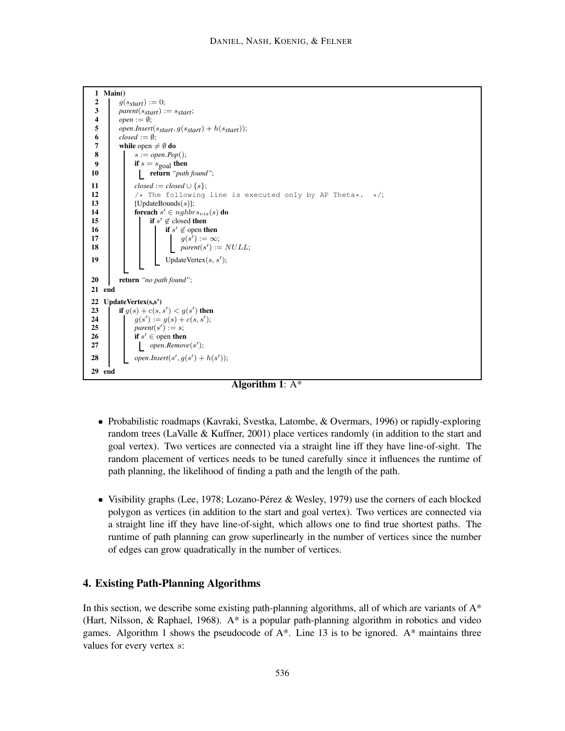```
1 Main()
 g(s_{start}) := 0;<br>
g(s_{start}) := 0;<br>
parent(s_{start}):
 3 parent(s_{start}) := s_{start};<br>4 open := 0:
 4 open := ∅;<br>5 open.Insert
 5 (open.Insert(sstart, g(s_{start}) + h(s_{start}));<br>6 \qquad \text{closed} := \emptyset;6 close := \emptyset;<br>7 while open
 7 while open \neq \emptyset do<br>8 do<br>8 d s := open.Pot
                s := open.pop();if s = s_{\text{goal}} then<br>i then<br>i then<br>i then
                 10 return "path found";
11 \qquad \qquad \text{closed} := \text{closed} \cup \{s\};<br>12 \qquad \qquad \downarrow \ \text{The following}12 /* The following line is executed only by AP Theta*. */;<br>
[UpdateBounds(s)];
13 [UpdateBounds(s)];<br>14 foreach s' \in nghbrforeach s' \in nghbr s_{vis}(s) do
if s' \notin \text{closed then}if s' \notin \text{open} then
17 g(s') := \infty;18 \qquad | \qquad | \qquad parent(s') := NULL;
19 \Box UpdateVertex(s, s');
20 return "no path found";
21 end
22 UpdateVertex(s,s')
23 i if g(s) + c(s, s') < g(s') then
24 g(s') := g(s) + c(s, s');
25 ) parent(s') := s;26 \qquad if s' \in \text{open} then
open.Remove(s
′ 27 );
28 open.Insert(s', g(s') + h(s'));
29 end
```
**Algorithm 1**: A\*

- Probabilistic roadmaps (Kavraki, Svestka, Latombe, & Overmars, 1996) or rapidly-exploring random trees (LaValle & Kuffner, 2001) place vertices randomly (in addition to the start and goal vertex). Two vertices are connected via a straight line iff they have line-of-sight. The random placement of vertices needs to be tuned carefully since it influences the runtime of path planning, the likelihood of finding a path and the length of the path.
- Visibility graphs (Lee, 1978; Lozano-Pérez & Wesley, 1979) use the corners of each blocked polygon as vertices (in addition to the start and goal vertex). Two vertices are connected via a straight line iff they have line-of-sight, which allows one to find true shortest paths. The runtime of path planning can grow superlinearly in the number of vertices since the number of edges can grow quadratically in the number of vertices.

## **4. Existing Path-Planning Algorithms**

In this section, we describe some existing path-planning algorithms, all of which are variants of  $A^*$ (Hart, Nilsson, & Raphael, 1968). A\* is a popular path-planning algorithm in robotics and video games. Algorithm 1 shows the pseudocode of  $A^*$ . Line 13 is to be ignored.  $A^*$  maintains three values for every vertex s: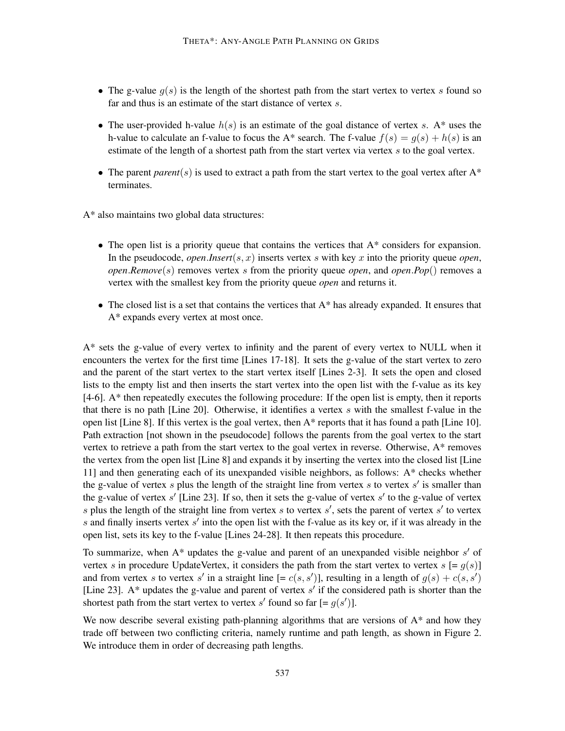- The g-value  $g(s)$  is the length of the shortest path from the start vertex to vertex s found so far and thus is an estimate of the start distance of vertex s.
- The user-provided h-value  $h(s)$  is an estimate of the goal distance of vertex s. A\* uses the h-value to calculate an f-value to focus the A\* search. The f-value  $f(s) = g(s) + h(s)$  is an estimate of the length of a shortest path from the start vertex via vertex  $s$  to the goal vertex.
- The parent *parent*(s) is used to extract a path from the start vertex to the goal vertex after  $A^*$ terminates.

A\* also maintains two global data structures:

- The open list is a priority queue that contains the vertices that  $A^*$  considers for expansion. In the pseudocode, *open.Insert*( $s, x$ ) inserts vertex  $s$  with key  $x$  into the priority queue *open*, *open.Remove*(s) removes vertex s from the priority queue *open*, and *open.Pop*() removes a vertex with the smallest key from the priority queue *open* and returns it.
- The closed list is a set that contains the vertices that  $A^*$  has already expanded. It ensures that A\* expands every vertex at most once.

A\* sets the g-value of every vertex to infinity and the parent of every vertex to NULL when it encounters the vertex for the first time [Lines 17-18]. It sets the g-value of the start vertex to zero and the parent of the start vertex to the start vertex itself [Lines 2-3]. It sets the open and closed lists to the empty list and then inserts the start vertex into the open list with the f-value as its key [4-6]. A\* then repeatedly executes the following procedure: If the open list is empty, then it reports that there is no path [Line 20]. Otherwise, it identifies a vertex  $s$  with the smallest f-value in the open list [Line 8]. If this vertex is the goal vertex, then  $A^*$  reports that it has found a path [Line 10]. Path extraction [not shown in the pseudocode] follows the parents from the goal vertex to the start vertex to retrieve a path from the start vertex to the goal vertex in reverse. Otherwise,  $A^*$  removes the vertex from the open list [Line 8] and expands it by inserting the vertex into the closed list [Line 11] and then generating each of its unexpanded visible neighbors, as follows: A\* checks whether the g-value of vertex  $s$  plus the length of the straight line from vertex  $s$  to vertex  $s'$  is smaller than the g-value of vertex  $s'$  [Line 23]. If so, then it sets the g-value of vertex  $s'$  to the g-value of vertex s plus the length of the straight line from vertex s to vertex  $s'$ , sets the parent of vertex s' to vertex s and finally inserts vertex  $s'$  into the open list with the f-value as its key or, if it was already in the open list, sets its key to the f-value [Lines 24-28]. It then repeats this procedure.

To summarize, when  $A^*$  updates the g-value and parent of an unexpanded visible neighbor  $s'$  of vertex s in procedure UpdateVertex, it considers the path from the start vertex to vertex  $s$  [=  $g(s)$ ] and from vertex s to vertex s' in a straight line  $[= c(s, s')]$ , resulting in a length of  $g(s) + c(s, s')$ [Line 23]. A\* updates the g-value and parent of vertex  $s'$  if the considered path is shorter than the shortest path from the start vertex to vertex s' found so far  $[= g(s')]$ .

We now describe several existing path-planning algorithms that are versions of A<sup>\*</sup> and how they trade off between two conflicting criteria, namely runtime and path length, as shown in Figure 2. We introduce them in order of decreasing path lengths.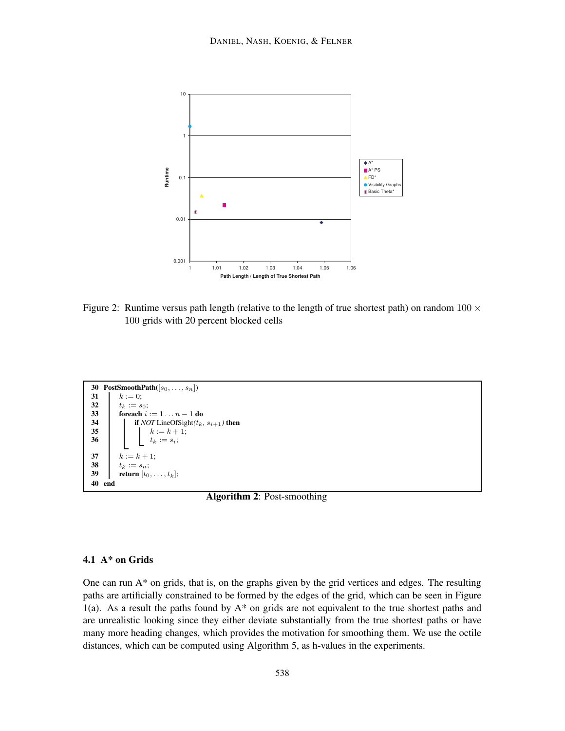

Figure 2: Runtime versus path length (relative to the length of true shortest path) on random  $100 \times$ 100 grids with 20 percent blocked cells

```
30 PostSmoothPath([s_0, \ldots, s_n])31 k := 0;<br>32 t_k := s_032 t_k := s_0;<br>33 foreach i
33 foreach i := 1 ... n - 1 do<br>34 if NOT LineOfSight(t_k)
34 if NOT LineOfSight(t_k, s_{i+1}) then<br>35 i k := k + 1;
35 b k := k + 1;<br>36 b k := k + 1;<br>11 c k := st_k := s_i;37 k := k + 1;38 t_k := s_n;<br>39 return [t_0]return [t_0, \ldots, t_k];
40 end
```
**Algorithm 2**: Post-smoothing

## **4.1 A\* on Grids**

One can run  $A^*$  on grids, that is, on the graphs given by the grid vertices and edges. The resulting paths are artificially constrained to be formed by the edges of the grid, which can be seen in Figure 1(a). As a result the paths found by  $A^*$  on grids are not equivalent to the true shortest paths and are unrealistic looking since they either deviate substantially from the true shortest paths or have many more heading changes, which provides the motivation for smoothing them. We use the octile distances, which can be computed using Algorithm 5, as h-values in the experiments.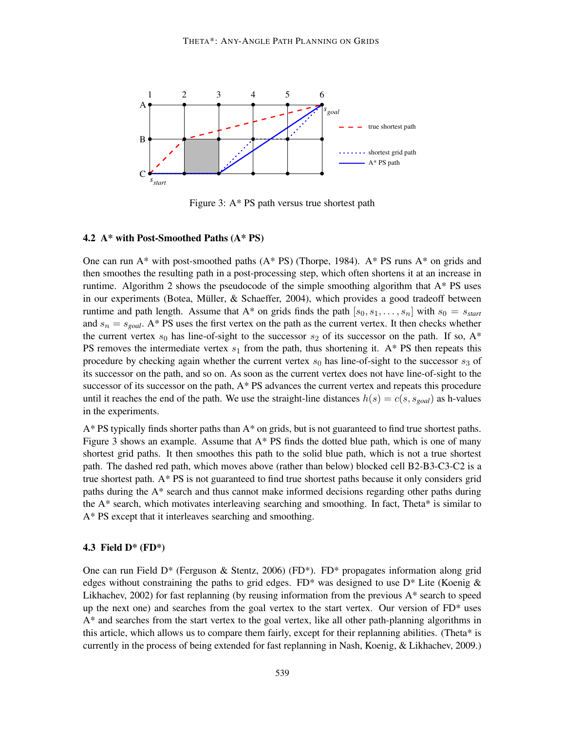

Figure 3: A\* PS path versus true shortest path

#### **4.2 A\* with Post-Smoothed Paths (A\* PS)**

One can run  $A^*$  with post-smoothed paths  $(A^*$  PS) (Thorpe, 1984).  $A^*$  PS runs  $A^*$  on grids and then smoothes the resulting path in a post-processing step, which often shortens it at an increase in runtime. Algorithm 2 shows the pseudocode of the simple smoothing algorithm that  $A^*$  PS uses in our experiments (Botea, Müller,  $&$  Schaeffer, 2004), which provides a good tradeoff between runtime and path length. Assume that  $A^*$  on grids finds the path  $[s_0, s_1, \ldots, s_n]$  with  $s_0 = s_{start}$ and  $s_n = s_{goal}$ . A\* PS uses the first vertex on the path as the current vertex. It then checks whether the current vertex  $s_0$  has line-of-sight to the successor  $s_2$  of its successor on the path. If so,  $A^*$ PS removes the intermediate vertex  $s_1$  from the path, thus shortening it. A\* PS then repeats this procedure by checking again whether the current vertex  $s_0$  has line-of-sight to the successor  $s_3$  of its successor on the path, and so on. As soon as the current vertex does not have line-of-sight to the successor of its successor on the path, A\* PS advances the current vertex and repeats this procedure until it reaches the end of the path. We use the straight-line distances  $h(s) = c(s, s_{goal})$  as h-values in the experiments.

A\* PS typically finds shorter paths than A\* on grids, but is not guaranteed to find true shortest paths. Figure 3 shows an example. Assume that  $A^*$  PS finds the dotted blue path, which is one of many shortest grid paths. It then smoothes this path to the solid blue path, which is not a true shortest path. The dashed red path, which moves above (rather than below) blocked cell B2-B3-C3-C2 is a true shortest path. A\* PS is not guaranteed to find true shortest paths because it only considers grid paths during the A\* search and thus cannot make informed decisions regarding other paths during the  $A^*$  search, which motivates interleaving searching and smoothing. In fact, Theta\* is similar to A\* PS except that it interleaves searching and smoothing.

#### **4.3 Field D\* (FD\*)**

One can run Field D\* (Ferguson & Stentz, 2006) (FD\*). FD\* propagates information along grid edges without constraining the paths to grid edges.  $FD^*$  was designed to use  $D^*$  Lite (Koenig & Likhachev, 2002) for fast replanning (by reusing information from the previous  $A^*$  search to speed up the next one) and searches from the goal vertex to the start vertex. Our version of FD\* uses A\* and searches from the start vertex to the goal vertex, like all other path-planning algorithms in this article, which allows us to compare them fairly, except for their replanning abilities. (Theta\* is currently in the process of being extended for fast replanning in Nash, Koenig, & Likhachev, 2009.)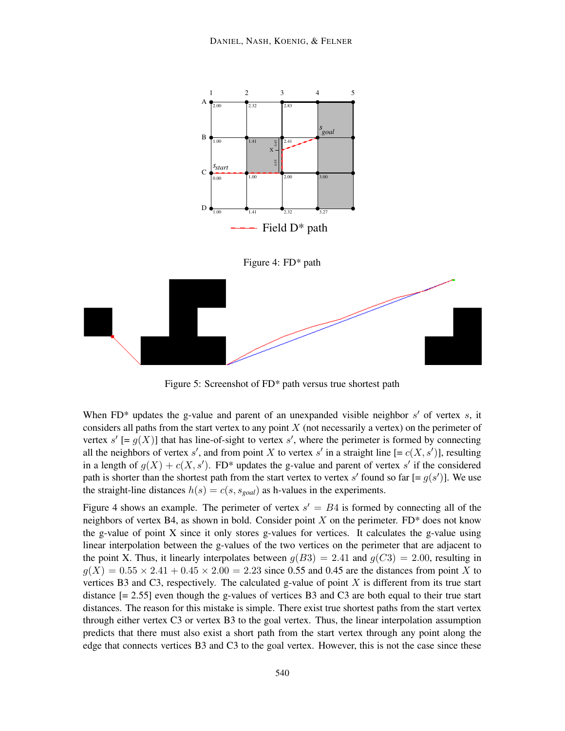

Figure 5: Screenshot of FD\* path versus true shortest path

When FD<sup>\*</sup> updates the g-value and parent of an unexpanded visible neighbor  $s'$  of vertex  $s$ , it considers all paths from the start vertex to any point  $X$  (not necessarily a vertex) on the perimeter of vertex  $s'$  [=  $g(X)$ ] that has line-of-sight to vertex s', where the perimeter is formed by connecting all the neighbors of vertex s', and from point X to vertex s' in a straight line  $[= c(X, s')]$ , resulting in a length of  $g(X) + c(X, s')$ . FD\* updates the g-value and parent of vertex s' if the considered path is shorter than the shortest path from the start vertex to vertex s' found so far  $[= g(s')]$ . We use the straight-line distances  $h(s) = c(s, s_{goal})$  as h-values in the experiments.

Figure 4 shows an example. The perimeter of vertex  $s' = B4$  is formed by connecting all of the neighbors of vertex B4, as shown in bold. Consider point  $X$  on the perimeter. FD\* does not know the g-value of point X since it only stores g-values for vertices. It calculates the g-value using linear interpolation between the g-values of the two vertices on the perimeter that are adjacent to the point X. Thus, it linearly interpolates between  $g(B3) = 2.41$  and  $g(C3) = 2.00$ , resulting in  $q(X) = 0.55 \times 2.41 + 0.45 \times 2.00 = 2.23$  since 0.55 and 0.45 are the distances from point X to vertices B3 and C3, respectively. The calculated g-value of point  $X$  is different from its true start distance  $[= 2.55]$  even though the g-values of vertices B3 and C3 are both equal to their true start distances. The reason for this mistake is simple. There exist true shortest paths from the start vertex through either vertex C3 or vertex B3 to the goal vertex. Thus, the linear interpolation assumption predicts that there must also exist a short path from the start vertex through any point along the edge that connects vertices B3 and C3 to the goal vertex. However, this is not the case since these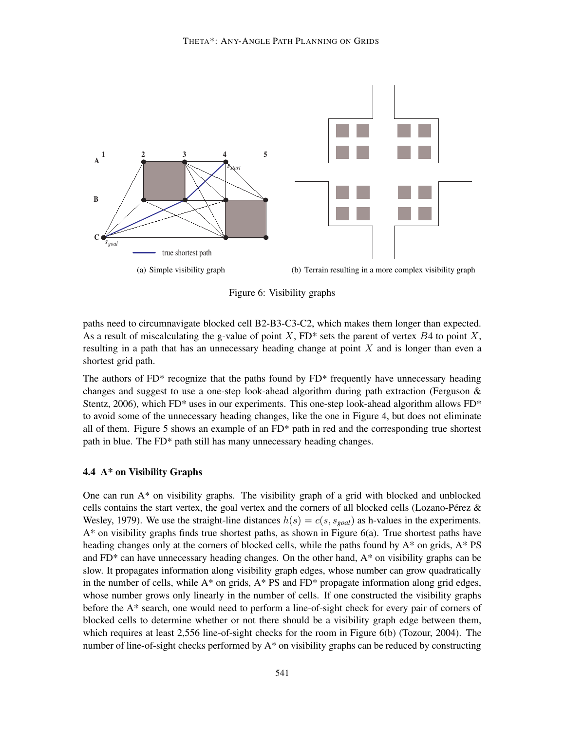

Figure 6: Visibility graphs

paths need to circumnavigate blocked cell B2-B3-C3-C2, which makes them longer than expected. As a result of miscalculating the g-value of point X, FD\* sets the parent of vertex  $B4$  to point X, resulting in a path that has an unnecessary heading change at point X and is longer than even a shortest grid path.

The authors of  $FD^*$  recognize that the paths found by  $FD^*$  frequently have unnecessary heading changes and suggest to use a one-step look-ahead algorithm during path extraction (Ferguson  $\&$ Stentz, 2006), which  $FD^*$  uses in our experiments. This one-step look-ahead algorithm allows  $FD^*$ to avoid some of the unnecessary heading changes, like the one in Figure 4, but does not eliminate all of them. Figure 5 shows an example of an FD\* path in red and the corresponding true shortest path in blue. The FD\* path still has many unnecessary heading changes.

## **4.4 A\* on Visibility Graphs**

One can run  $A^*$  on visibility graphs. The visibility graph of a grid with blocked and unblocked cells contains the start vertex, the goal vertex and the corners of all blocked cells (Lozano-Pérez  $\&$ Wesley, 1979). We use the straight-line distances  $h(s) = c(s, s_{goal})$  as h-values in the experiments. A\* on visibility graphs finds true shortest paths, as shown in Figure 6(a). True shortest paths have heading changes only at the corners of blocked cells, while the paths found by  $A^*$  on grids,  $A^*$  PS and  $FD^*$  can have unnecessary heading changes. On the other hand,  $A^*$  on visibility graphs can be slow. It propagates information along visibility graph edges, whose number can grow quadratically in the number of cells, while  $A^*$  on grids,  $A^*$  PS and FD\* propagate information along grid edges, whose number grows only linearly in the number of cells. If one constructed the visibility graphs before the A\* search, one would need to perform a line-of-sight check for every pair of corners of blocked cells to determine whether or not there should be a visibility graph edge between them, which requires at least 2,556 line-of-sight checks for the room in Figure 6(b) (Tozour, 2004). The number of line-of-sight checks performed by  $A^*$  on visibility graphs can be reduced by constructing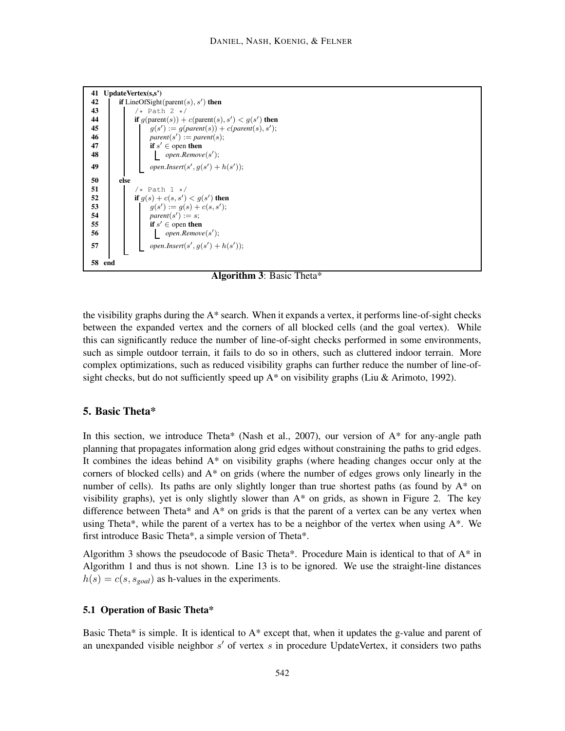

**Algorithm 3**: Basic Theta\*

the visibility graphs during the  $A^*$  search. When it expands a vertex, it performs line-of-sight checks between the expanded vertex and the corners of all blocked cells (and the goal vertex). While this can significantly reduce the number of line-of-sight checks performed in some environments, such as simple outdoor terrain, it fails to do so in others, such as cluttered indoor terrain. More complex optimizations, such as reduced visibility graphs can further reduce the number of line-ofsight checks, but do not sufficiently speed up  $A^*$  on visibility graphs (Liu & Arimoto, 1992).

## **5. Basic Theta\***

In this section, we introduce Theta\* (Nash et al., 2007), our version of  $A^*$  for any-angle path planning that propagates information along grid edges without constraining the paths to grid edges. It combines the ideas behind A\* on visibility graphs (where heading changes occur only at the corners of blocked cells) and  $A^*$  on grids (where the number of edges grows only linearly in the number of cells). Its paths are only slightly longer than true shortest paths (as found by A\* on visibility graphs), yet is only slightly slower than  $A^*$  on grids, as shown in Figure 2. The key difference between Theta\* and A\* on grids is that the parent of a vertex can be any vertex when using Theta\*, while the parent of a vertex has to be a neighbor of the vertex when using  $A^*$ . We first introduce Basic Theta\*, a simple version of Theta\*.

Algorithm 3 shows the pseudocode of Basic Theta\*. Procedure Main is identical to that of A\* in Algorithm 1 and thus is not shown. Line 13 is to be ignored. We use the straight-line distances  $h(s) = c(s, s_{goal})$  as h-values in the experiments.

#### **5.1 Operation of Basic Theta\***

Basic Theta\* is simple. It is identical to A\* except that, when it updates the g-value and parent of an unexpanded visible neighbor  $s'$  of vertex  $s$  in procedure UpdateVertex, it considers two paths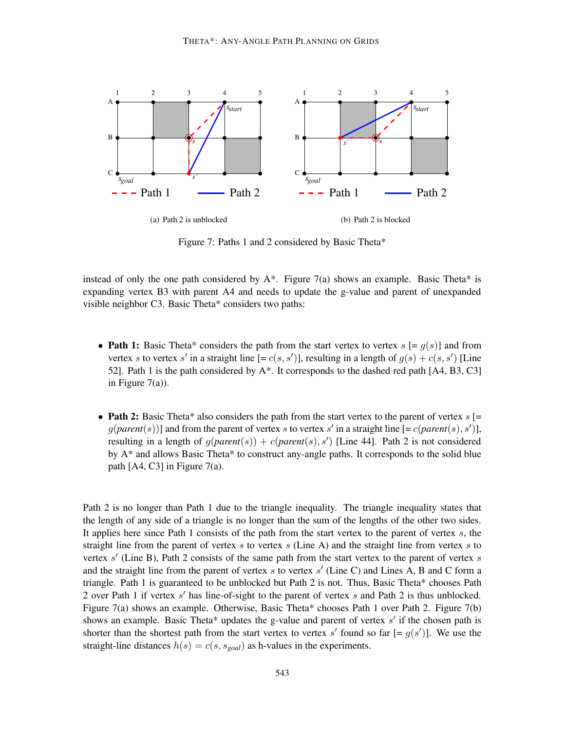

Figure 7: Paths 1 and 2 considered by Basic Theta\*

instead of only the one path considered by  $A^*$ . Figure 7(a) shows an example. Basic Theta\* is expanding vertex B3 with parent A4 and needs to update the g-value and parent of unexpanded visible neighbor C3. Basic Theta\* considers two paths:

- **Path 1:** Basic Theta\* considers the path from the start vertex to vertex  $s$  [=  $q(s)$ ] and from vertex s to vertex s' in a straight line  $[= c(s, s')]$ , resulting in a length of  $g(s) + c(s, s')$  [Line 52]. Path 1 is the path considered by  $A^*$ . It corresponds to the dashed red path [A4, B3, C3] in Figure  $7(a)$ ).
- **Path 2:** Basic Theta\* also considers the path from the start vertex to the parent of vertex  $s$  [=  $g(\text{parent}(s))$ ] and from the parent of vertex s to vertex s' in a straight line  $[=c(\text{parent}(s), s')]$ , resulting in a length of  $g(parent(s)) + c(parent(s), s')$  [Line 44]. Path 2 is not considered by A\* and allows Basic Theta\* to construct any-angle paths. It corresponds to the solid blue path  $[A4, C3]$  in Figure 7(a).

Path 2 is no longer than Path 1 due to the triangle inequality. The triangle inequality states that the length of any side of a triangle is no longer than the sum of the lengths of the other two sides. It applies here since Path 1 consists of the path from the start vertex to the parent of vertex  $s$ , the straight line from the parent of vertex s to vertex s (Line A) and the straight line from vertex s to vertex  $s'$  (Line B), Path 2 consists of the same path from the start vertex to the parent of vertex  $s$ and the straight line from the parent of vertex  $s$  to vertex  $s'$  (Line C) and Lines A, B and C form a triangle. Path 1 is guaranteed to be unblocked but Path 2 is not. Thus, Basic Theta\* chooses Path 2 over Path 1 if vertex s' has line-of-sight to the parent of vertex s and Path 2 is thus unblocked. Figure 7(a) shows an example. Otherwise, Basic Theta\* chooses Path 1 over Path 2. Figure 7(b) shows an example. Basic Theta\* updates the g-value and parent of vertex  $s'$  if the chosen path is shorter than the shortest path from the start vertex to vertex s' found so far  $[= g(s')]$ . We use the straight-line distances  $h(s) = c(s, s_{goal})$  as h-values in the experiments.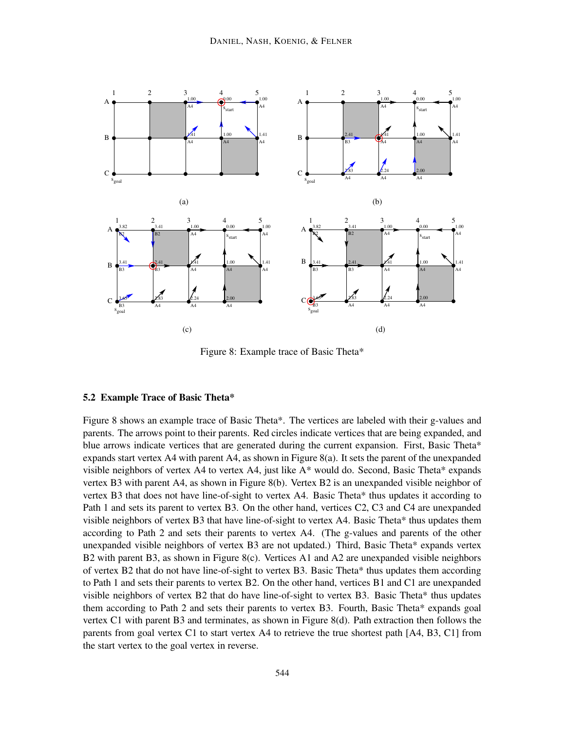

Figure 8: Example trace of Basic Theta\*

### **5.2 Example Trace of Basic Theta\***

Figure 8 shows an example trace of Basic Theta\*. The vertices are labeled with their g-values and parents. The arrows point to their parents. Red circles indicate vertices that are being expanded, and blue arrows indicate vertices that are generated during the current expansion. First, Basic Theta\* expands start vertex A4 with parent A4, as shown in Figure 8(a). It sets the parent of the unexpanded visible neighbors of vertex A4 to vertex A4, just like A\* would do. Second, Basic Theta\* expands vertex B3 with parent A4, as shown in Figure 8(b). Vertex B2 is an unexpanded visible neighbor of vertex B3 that does not have line-of-sight to vertex A4. Basic Theta\* thus updates it according to Path 1 and sets its parent to vertex B3. On the other hand, vertices C2, C3 and C4 are unexpanded visible neighbors of vertex B3 that have line-of-sight to vertex A4. Basic Theta\* thus updates them according to Path 2 and sets their parents to vertex A4. (The g-values and parents of the other unexpanded visible neighbors of vertex B3 are not updated.) Third, Basic Theta\* expands vertex B2 with parent B3, as shown in Figure 8(c). Vertices A1 and A2 are unexpanded visible neighbors of vertex B2 that do not have line-of-sight to vertex B3. Basic Theta\* thus updates them according to Path 1 and sets their parents to vertex B2. On the other hand, vertices B1 and C1 are unexpanded visible neighbors of vertex B2 that do have line-of-sight to vertex B3. Basic Theta\* thus updates them according to Path 2 and sets their parents to vertex B3. Fourth, Basic Theta\* expands goal vertex C1 with parent B3 and terminates, as shown in Figure 8(d). Path extraction then follows the parents from goal vertex C1 to start vertex A4 to retrieve the true shortest path [A4, B3, C1] from the start vertex to the goal vertex in reverse.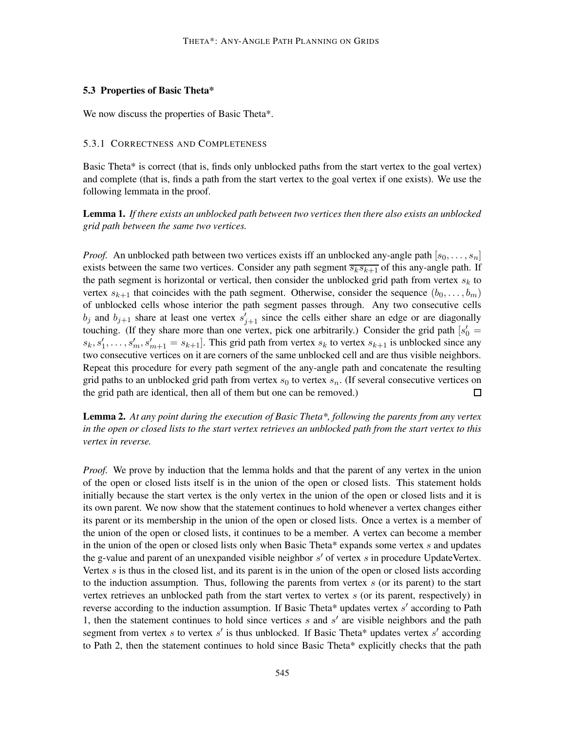#### **5.3 Properties of Basic Theta\***

We now discuss the properties of Basic Theta\*.

#### 5.3.1 CORRECTNESS AND COMPLETENESS

Basic Theta\* is correct (that is, finds only unblocked paths from the start vertex to the goal vertex) and complete (that is, finds a path from the start vertex to the goal vertex if one exists). We use the following lemmata in the proof.

**Lemma 1.** *If there exists an unblocked path between two vertices then there also exists an unblocked grid path between the same two vertices.*

*Proof.* An unblocked path between two vertices exists iff an unblocked any-angle path  $[s_0, \ldots, s_n]$ exists between the same two vertices. Consider any path segment  $\overline{s_k s_{k+1}}$  of this any-angle path. If the path segment is horizontal or vertical, then consider the unblocked grid path from vertex  $s_k$  to vertex  $s_{k+1}$  that coincides with the path segment. Otherwise, consider the sequence  $(b_0, \ldots, b_m)$ of unblocked cells whose interior the path segment passes through. Any two consecutive cells  $b_j$  and  $b_{j+1}$  share at least one vertex  $s'_{j+1}$  since the cells either share an edge or are diagonally touching. (If they share more than one vertex, pick one arbitrarily.) Consider the grid path  $s'_0$  =  $s_k, s'_1, \ldots, s'_m, s'_{m+1} = s_{k+1}$ . This grid path from vertex  $s_k$  to vertex  $s_{k+1}$  is unblocked since any two consecutive vertices on it are corners of the same unblocked cell and are thus visible neighbors. Repeat this procedure for every path segment of the any-angle path and concatenate the resulting grid paths to an unblocked grid path from vertex  $s_0$  to vertex  $s_n$ . (If several consecutive vertices on the grid path are identical, then all of them but one can be removed.)  $\Box$ 

**Lemma 2.** *At any point during the execution of Basic Theta\*, following the parents from any vertex in the open or closed lists to the start vertex retrieves an unblocked path from the start vertex to this vertex in reverse.*

*Proof.* We prove by induction that the lemma holds and that the parent of any vertex in the union of the open or closed lists itself is in the union of the open or closed lists. This statement holds initially because the start vertex is the only vertex in the union of the open or closed lists and it is its own parent. We now show that the statement continues to hold whenever a vertex changes either its parent or its membership in the union of the open or closed lists. Once a vertex is a member of the union of the open or closed lists, it continues to be a member. A vertex can become a member in the union of the open or closed lists only when Basic Theta\* expands some vertex  $s$  and updates the g-value and parent of an unexpanded visible neighbor  $s'$  of vertex  $s$  in procedure UpdateVertex. Vertex  $s$  is thus in the closed list, and its parent is in the union of the open or closed lists according to the induction assumption. Thus, following the parents from vertex  $s$  (or its parent) to the start vertex retrieves an unblocked path from the start vertex to vertex s (or its parent, respectively) in reverse according to the induction assumption. If Basic Theta\* updates vertex s' according to Path 1, then the statement continues to hold since vertices  $s$  and  $s'$  are visible neighbors and the path segment from vertex s to vertex s' is thus unblocked. If Basic Theta\* updates vertex s' according to Path 2, then the statement continues to hold since Basic Theta\* explicitly checks that the path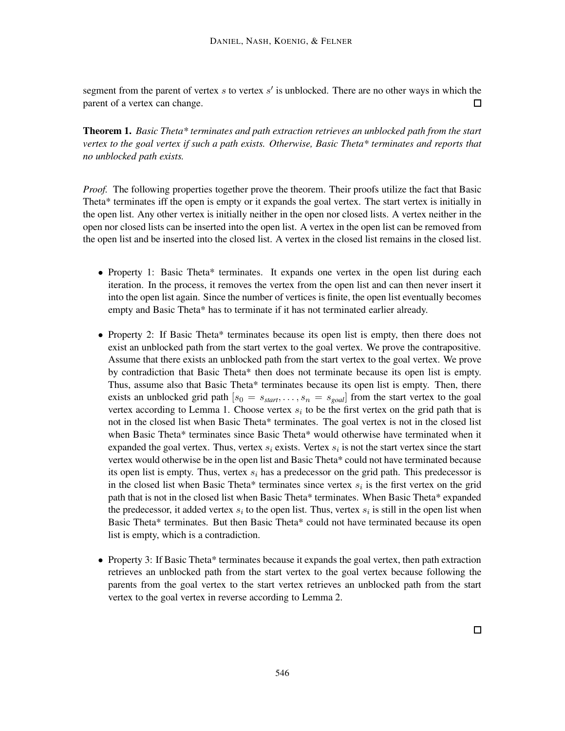segment from the parent of vertex s to vertex  $s'$  is unblocked. There are no other ways in which the parent of a vertex can change.  $\Box$ 

**Theorem 1.** *Basic Theta\* terminates and path extraction retrieves an unblocked path from the start vertex to the goal vertex if such a path exists. Otherwise, Basic Theta\* terminates and reports that no unblocked path exists.*

*Proof.* The following properties together prove the theorem. Their proofs utilize the fact that Basic Theta\* terminates iff the open is empty or it expands the goal vertex. The start vertex is initially in the open list. Any other vertex is initially neither in the open nor closed lists. A vertex neither in the open nor closed lists can be inserted into the open list. A vertex in the open list can be removed from the open list and be inserted into the closed list. A vertex in the closed list remains in the closed list.

- Property 1: Basic Theta\* terminates. It expands one vertex in the open list during each iteration. In the process, it removes the vertex from the open list and can then never insert it into the open list again. Since the number of vertices is finite, the open list eventually becomes empty and Basic Theta\* has to terminate if it has not terminated earlier already.
- Property 2: If Basic Theta\* terminates because its open list is empty, then there does not exist an unblocked path from the start vertex to the goal vertex. We prove the contrapositive. Assume that there exists an unblocked path from the start vertex to the goal vertex. We prove by contradiction that Basic Theta\* then does not terminate because its open list is empty. Thus, assume also that Basic Theta\* terminates because its open list is empty. Then, there exists an unblocked grid path  $[s_0 = s_{start}, \ldots, s_n = s_{goal}]$  from the start vertex to the goal vertex according to Lemma 1. Choose vertex  $s_i$  to be the first vertex on the grid path that is not in the closed list when Basic Theta\* terminates. The goal vertex is not in the closed list when Basic Theta\* terminates since Basic Theta\* would otherwise have terminated when it expanded the goal vertex. Thus, vertex  $s_i$  exists. Vertex  $s_i$  is not the start vertex since the start vertex would otherwise be in the open list and Basic Theta\* could not have terminated because its open list is empty. Thus, vertex  $s_i$  has a predecessor on the grid path. This predecessor is in the closed list when Basic Theta\* terminates since vertex  $s_i$  is the first vertex on the grid path that is not in the closed list when Basic Theta\* terminates. When Basic Theta\* expanded the predecessor, it added vertex  $s_i$  to the open list. Thus, vertex  $s_i$  is still in the open list when Basic Theta\* terminates. But then Basic Theta\* could not have terminated because its open list is empty, which is a contradiction.
- Property 3: If Basic Theta\* terminates because it expands the goal vertex, then path extraction retrieves an unblocked path from the start vertex to the goal vertex because following the parents from the goal vertex to the start vertex retrieves an unblocked path from the start vertex to the goal vertex in reverse according to Lemma 2.

 $\Box$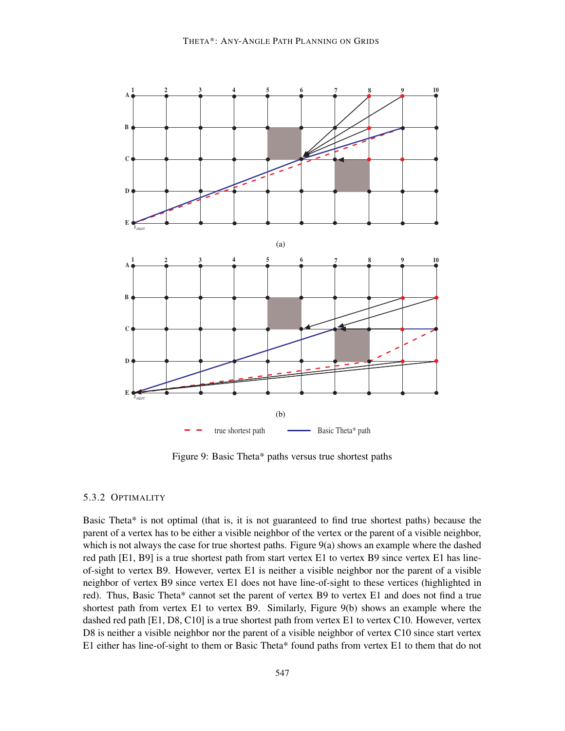

Figure 9: Basic Theta\* paths versus true shortest paths

#### 5.3.2 OPTIMALITY

Basic Theta\* is not optimal (that is, it is not guaranteed to find true shortest paths) because the parent of a vertex has to be either a visible neighbor of the vertex or the parent of a visible neighbor, which is not always the case for true shortest paths. Figure 9(a) shows an example where the dashed red path [E1, B9] is a true shortest path from start vertex E1 to vertex B9 since vertex E1 has lineof-sight to vertex B9. However, vertex E1 is neither a visible neighbor nor the parent of a visible neighbor of vertex B9 since vertex E1 does not have line-of-sight to these vertices (highlighted in red). Thus, Basic Theta\* cannot set the parent of vertex B9 to vertex E1 and does not find a true shortest path from vertex E1 to vertex B9. Similarly, Figure 9(b) shows an example where the dashed red path [E1, D8, C10] is a true shortest path from vertex E1 to vertex C10. However, vertex D8 is neither a visible neighbor nor the parent of a visible neighbor of vertex C10 since start vertex E1 either has line-of-sight to them or Basic Theta\* found paths from vertex E1 to them that do not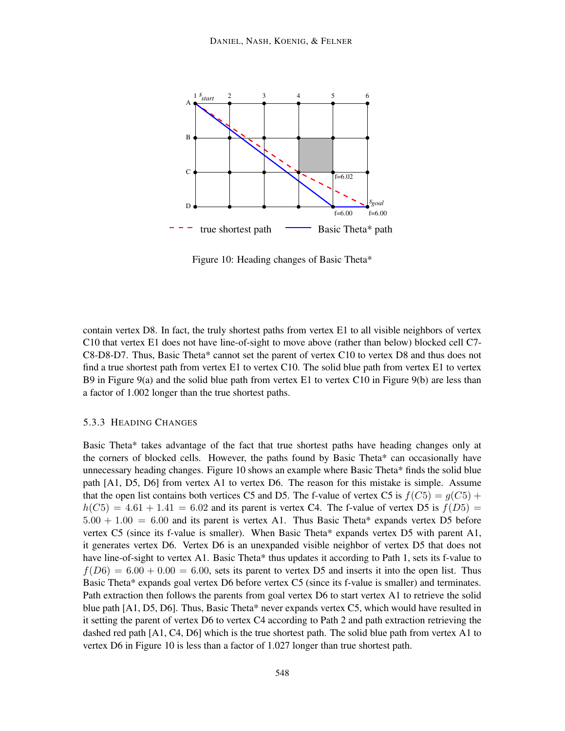

Figure 10: Heading changes of Basic Theta\*

contain vertex D8. In fact, the truly shortest paths from vertex E1 to all visible neighbors of vertex C10 that vertex E1 does not have line-of-sight to move above (rather than below) blocked cell C7- C8-D8-D7. Thus, Basic Theta\* cannot set the parent of vertex C10 to vertex D8 and thus does not find a true shortest path from vertex E1 to vertex C10. The solid blue path from vertex E1 to vertex B9 in Figure 9(a) and the solid blue path from vertex E1 to vertex C10 in Figure 9(b) are less than a factor of 1.002 longer than the true shortest paths.

## 5.3.3 HEADING CHANGES

Basic Theta\* takes advantage of the fact that true shortest paths have heading changes only at the corners of blocked cells. However, the paths found by Basic Theta\* can occasionally have unnecessary heading changes. Figure 10 shows an example where Basic Theta\* finds the solid blue path [A1, D5, D6] from vertex A1 to vertex D6. The reason for this mistake is simple. Assume that the open list contains both vertices C5 and D5. The f-value of vertex C5 is  $f(C5) = g(C5) +$  $h(C5) = 4.61 + 1.41 = 6.02$  and its parent is vertex C4. The f-value of vertex D5 is  $f(D5) =$  $5.00 + 1.00 = 6.00$  and its parent is vertex A1. Thus Basic Theta\* expands vertex D5 before vertex C5 (since its f-value is smaller). When Basic Theta\* expands vertex D5 with parent A1, it generates vertex D6. Vertex D6 is an unexpanded visible neighbor of vertex D5 that does not have line-of-sight to vertex A1. Basic Theta\* thus updates it according to Path 1, sets its f-value to  $f(D6) = 6.00 + 0.00 = 6.00$ , sets its parent to vertex D5 and inserts it into the open list. Thus Basic Theta\* expands goal vertex D6 before vertex C5 (since its f-value is smaller) and terminates. Path extraction then follows the parents from goal vertex D6 to start vertex A1 to retrieve the solid blue path [A1, D5, D6]. Thus, Basic Theta\* never expands vertex C5, which would have resulted in it setting the parent of vertex D6 to vertex C4 according to Path 2 and path extraction retrieving the dashed red path [A1, C4, D6] which is the true shortest path. The solid blue path from vertex A1 to vertex D6 in Figure 10 is less than a factor of 1.027 longer than true shortest path.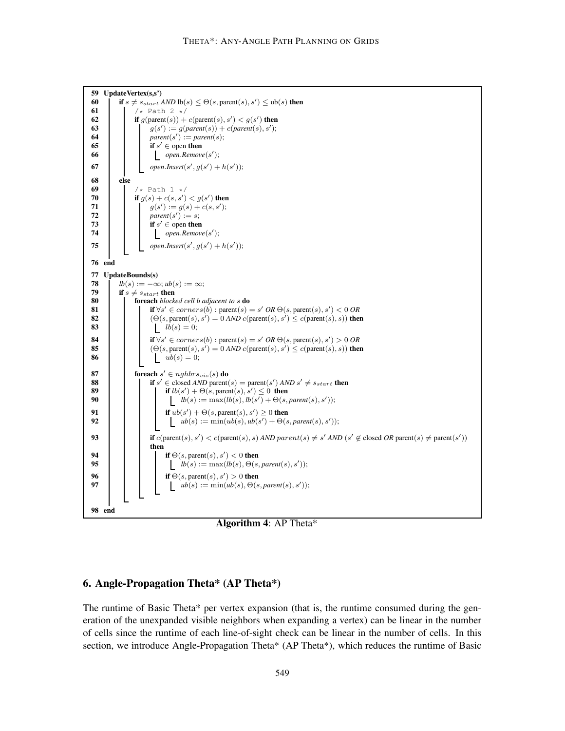

**Algorithm 4**: AP Theta\*

## **6. Angle-Propagation Theta\* (AP Theta\*)**

The runtime of Basic Theta\* per vertex expansion (that is, the runtime consumed during the generation of the unexpanded visible neighbors when expanding a vertex) can be linear in the number of cells since the runtime of each line-of-sight check can be linear in the number of cells. In this section, we introduce Angle-Propagation Theta\* (AP Theta\*), which reduces the runtime of Basic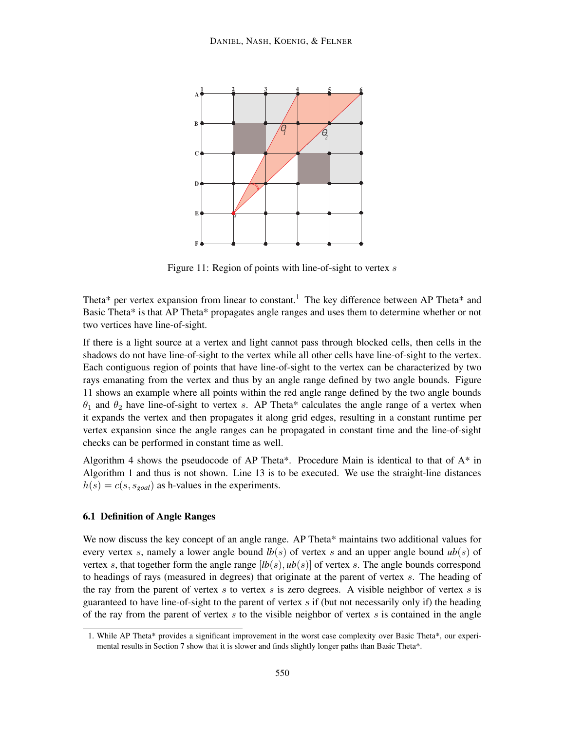

Figure 11: Region of points with line-of-sight to vertex  $s$ 

Theta\* per vertex expansion from linear to constant.<sup>1</sup> The key difference between AP Theta\* and Basic Theta\* is that AP Theta\* propagates angle ranges and uses them to determine whether or not two vertices have line-of-sight.

If there is a light source at a vertex and light cannot pass through blocked cells, then cells in the shadows do not have line-of-sight to the vertex while all other cells have line-of-sight to the vertex. Each contiguous region of points that have line-of-sight to the vertex can be characterized by two rays emanating from the vertex and thus by an angle range defined by two angle bounds. Figure 11 shows an example where all points within the red angle range defined by the two angle bounds  $\theta_1$  and  $\theta_2$  have line-of-sight to vertex s. AP Theta\* calculates the angle range of a vertex when it expands the vertex and then propagates it along grid edges, resulting in a constant runtime per vertex expansion since the angle ranges can be propagated in constant time and the line-of-sight checks can be performed in constant time as well.

Algorithm 4 shows the pseudocode of AP Theta\*. Procedure Main is identical to that of A\* in Algorithm 1 and thus is not shown. Line 13 is to be executed. We use the straight-line distances  $h(s) = c(s, s_{goal})$  as h-values in the experiments.

#### **6.1 Definition of Angle Ranges**

We now discuss the key concept of an angle range. AP Theta\* maintains two additional values for every vertex s, namely a lower angle bound  $lb(s)$  of vertex s and an upper angle bound  $ub(s)$  of vertex s, that together form the angle range  $[h(s), ub(s)]$  of vertex s. The angle bounds correspond to headings of rays (measured in degrees) that originate at the parent of vertex s. The heading of the ray from the parent of vertex  $s$  to vertex  $s$  is zero degrees. A visible neighbor of vertex  $s$  is guaranteed to have line-of-sight to the parent of vertex  $s$  if (but not necessarily only if) the heading of the ray from the parent of vertex s to the visible neighbor of vertex s is contained in the angle

<sup>1.</sup> While AP Theta\* provides a significant improvement in the worst case complexity over Basic Theta\*, our experimental results in Section 7 show that it is slower and finds slightly longer paths than Basic Theta\*.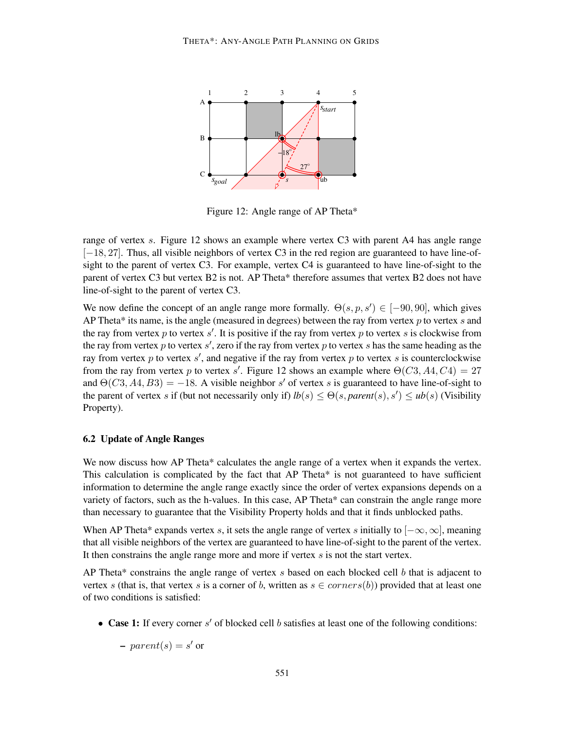

Figure 12: Angle range of AP Theta\*

range of vertex s. Figure 12 shows an example where vertex C3 with parent A4 has angle range [−18, 27]. Thus, all visible neighbors of vertex C3 in the red region are guaranteed to have line-ofsight to the parent of vertex C3. For example, vertex C4 is guaranteed to have line-of-sight to the parent of vertex C3 but vertex B2 is not. AP Theta\* therefore assumes that vertex B2 does not have line-of-sight to the parent of vertex C3.

We now define the concept of an angle range more formally.  $\Theta(s, p, s') \in [-90, 90]$ , which gives AP Theta\* its name, is the angle (measured in degrees) between the ray from vertex  $p$  to vertex  $s$  and the ray from vertex p to vertex s'. It is positive if the ray from vertex p to vertex s is clockwise from the ray from vertex p to vertex  $s'$ , zero if the ray from vertex p to vertex s has the same heading as the ray from vertex p to vertex s', and negative if the ray from vertex p to vertex s is counterclockwise from the ray from vertex p to vertex s'. Figure 12 shows an example where  $\Theta(C3, A4, C4) = 27$ and  $\Theta(C3, A4, B3) = -18$ . A visible neighbor s' of vertex s is guaranteed to have line-of-sight to the parent of vertex s if (but not necessarily only if)  $lb(s) \le \Theta(s, parent(s), s') \le ub(s)$  (Visibility Property).

#### **6.2 Update of Angle Ranges**

We now discuss how AP Theta\* calculates the angle range of a vertex when it expands the vertex. This calculation is complicated by the fact that AP Theta\* is not guaranteed to have sufficient information to determine the angle range exactly since the order of vertex expansions depends on a variety of factors, such as the h-values. In this case, AP Theta\* can constrain the angle range more than necessary to guarantee that the Visibility Property holds and that it finds unblocked paths.

When AP Theta\* expands vertex s, it sets the angle range of vertex s initially to  $[-\infty, \infty]$ , meaning that all visible neighbors of the vertex are guaranteed to have line-of-sight to the parent of the vertex. It then constrains the angle range more and more if vertex  $s$  is not the start vertex.

AP Theta\* constrains the angle range of vertex  $s$  based on each blocked cell  $b$  that is adjacent to vertex s (that is, that vertex s is a corner of b, written as  $s \in corners(b)$ ) provided that at least one of two conditions is satisfied:

• **Case 1:** If every corner s' of blocked cell b satisfies at least one of the following conditions:

 $\textit{–} \ parent(s) = s' \text{ or }$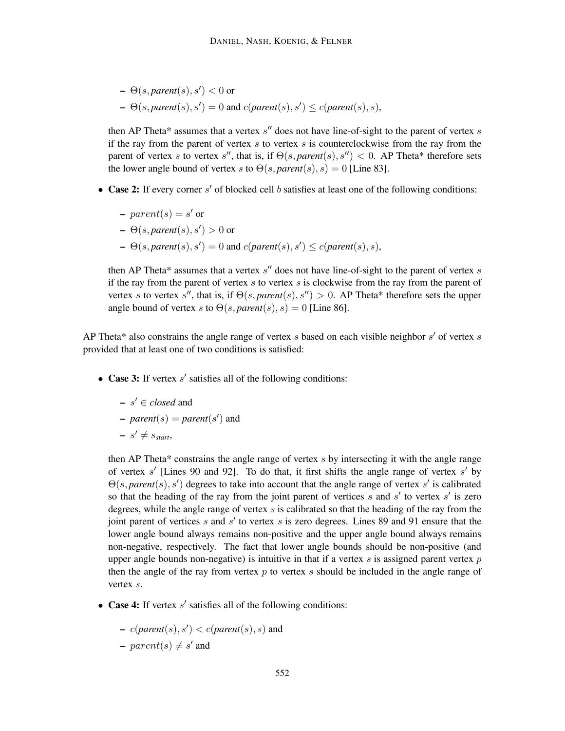- $\Theta(s, parent(s), s') < 0$  or
- $\blacktriangle$   $\Theta(s, parent(s), s') = 0$  and  $c(parent(s), s') \leq c(parent(s), s)$ ,

then AP Theta\* assumes that a vertex  $s''$  does not have line-of-sight to the parent of vertex  $s$ if the ray from the parent of vertex  $s$  to vertex  $s$  is counterclockwise from the ray from the parent of vertex s to vertex s'', that is, if  $\Theta(s, parent(s), s'') < 0$ . AP Theta\* therefore sets the lower angle bound of vertex s to  $\Theta(s, parent(s), s) = 0$  [Line 83].

- **Case 2:** If every corner s' of blocked cell b satisfies at least one of the following conditions:
	- $\textit{–}~ parent(s) = s' \text{ or }$
	- $\Theta(s, parent(s), s') > 0$  or
	- $\blacktriangle$   $\Theta(s, parent(s), s') = 0$  and  $c(parent(s), s') \leq c(parent(s), s)$ ,

then AP Theta\* assumes that a vertex  $s''$  does not have line-of-sight to the parent of vertex  $s$ if the ray from the parent of vertex  $s$  to vertex  $s$  is clockwise from the ray from the parent of vertex s to vertex s'', that is, if  $\Theta(s, parent(s), s'') > 0$ . AP Theta\* therefore sets the upper angle bound of vertex s to  $\Theta(s, parent(s), s) = 0$  [Line 86].

AP Theta\* also constrains the angle range of vertex s based on each visible neighbor  $s'$  of vertex s provided that at least one of two conditions is satisfied:

- **Case 3:** If vertex s' satisfies all of the following conditions:
	- **–** s ′ ∈ *closed* and

- 
$$
parent(s) = parent(s')
$$
 and

$$
-s' \neq s_{start},
$$

then AP Theta\* constrains the angle range of vertex  $s$  by intersecting it with the angle range of vertex  $s'$  [Lines 90 and 92]. To do that, it first shifts the angle range of vertex  $s'$  by  $\Theta(s, parent(s), s')$  degrees to take into account that the angle range of vertex s' is calibrated so that the heading of the ray from the joint parent of vertices s and  $s'$  to vertex s' is zero degrees, while the angle range of vertex  $s$  is calibrated so that the heading of the ray from the joint parent of vertices  $s$  and  $s'$  to vertex  $s$  is zero degrees. Lines 89 and 91 ensure that the lower angle bound always remains non-positive and the upper angle bound always remains non-negative, respectively. The fact that lower angle bounds should be non-positive (and upper angle bounds non-negative) is intuitive in that if a vertex  $s$  is assigned parent vertex  $p$ then the angle of the ray from vertex  $p$  to vertex  $s$  should be included in the angle range of vertex s.

- **Case 4:** If vertex s' satisfies all of the following conditions:
	- **–** c(*parent*(s), s′ ) < c(*parent*(s), s) and
	- $\textit{–} parent(s) \neq s'$  and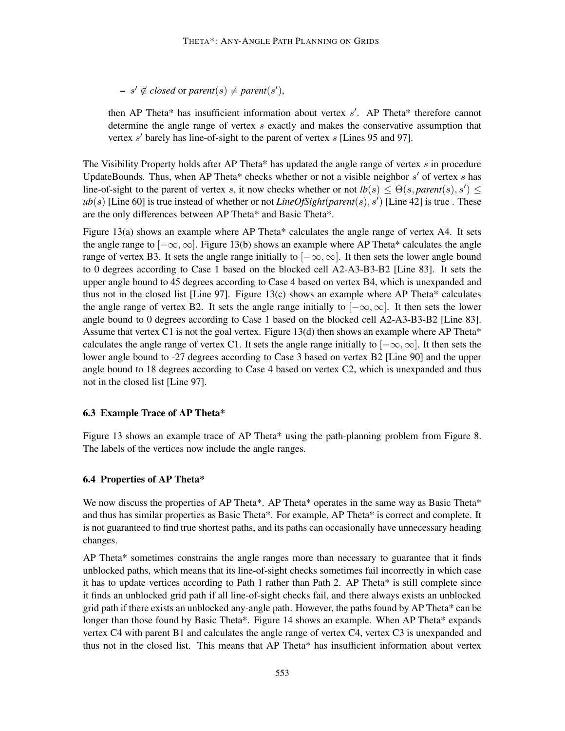$- s' \notin closed \text{ or } parent(s) \neq parent(s'),$ 

then AP Theta\* has insufficient information about vertex  $s'$ . AP Theta\* therefore cannot determine the angle range of vertex s exactly and makes the conservative assumption that vertex  $s'$  barely has line-of-sight to the parent of vertex  $s$  [Lines 95 and 97].

The Visibility Property holds after AP Theta\* has updated the angle range of vertex  $s$  in procedure UpdateBounds. Thus, when AP Theta\* checks whether or not a visible neighbor  $s'$  of vertex  $s$  has line-of-sight to the parent of vertex s, it now checks whether or not  $lb(s) \le \Theta(s, parent(s), s') \le$ *ub*(s) [Line 60] is true instead of whether or not *LineOfSight*(*parent*(s), s′ ) [Line 42] is true . These are the only differences between AP Theta\* and Basic Theta\*.

Figure 13(a) shows an example where AP Theta\* calculates the angle range of vertex  $A4$ . It sets the angle range to  $[-\infty, \infty]$ . Figure 13(b) shows an example where AP Theta\* calculates the angle range of vertex B3. It sets the angle range initially to  $[-\infty, \infty]$ . It then sets the lower angle bound to 0 degrees according to Case 1 based on the blocked cell A2-A3-B3-B2 [Line 83]. It sets the upper angle bound to 45 degrees according to Case 4 based on vertex B4, which is unexpanded and thus not in the closed list [Line 97]. Figure 13(c) shows an example where AP Theta\* calculates the angle range of vertex B2. It sets the angle range initially to  $[-\infty, \infty]$ . It then sets the lower angle bound to 0 degrees according to Case 1 based on the blocked cell A2-A3-B3-B2 [Line 83]. Assume that vertex C1 is not the goal vertex. Figure 13(d) then shows an example where AP Theta\* calculates the angle range of vertex C1. It sets the angle range initially to  $[-\infty, \infty]$ . It then sets the lower angle bound to -27 degrees according to Case 3 based on vertex B2 [Line 90] and the upper angle bound to 18 degrees according to Case 4 based on vertex C2, which is unexpanded and thus not in the closed list [Line 97].

#### **6.3 Example Trace of AP Theta\***

Figure 13 shows an example trace of AP Theta\* using the path-planning problem from Figure 8. The labels of the vertices now include the angle ranges.

#### **6.4 Properties of AP Theta\***

We now discuss the properties of AP Theta\*. AP Theta\* operates in the same way as Basic Theta\* and thus has similar properties as Basic Theta\*. For example, AP Theta\* is correct and complete. It is not guaranteed to find true shortest paths, and its paths can occasionally have unnecessary heading changes.

AP Theta\* sometimes constrains the angle ranges more than necessary to guarantee that it finds unblocked paths, which means that its line-of-sight checks sometimes fail incorrectly in which case it has to update vertices according to Path 1 rather than Path 2. AP Theta\* is still complete since it finds an unblocked grid path if all line-of-sight checks fail, and there always exists an unblocked grid path if there exists an unblocked any-angle path. However, the paths found by AP Theta\* can be longer than those found by Basic Theta\*. Figure 14 shows an example. When AP Theta\* expands vertex C4 with parent B1 and calculates the angle range of vertex C4, vertex C3 is unexpanded and thus not in the closed list. This means that AP Theta\* has insufficient information about vertex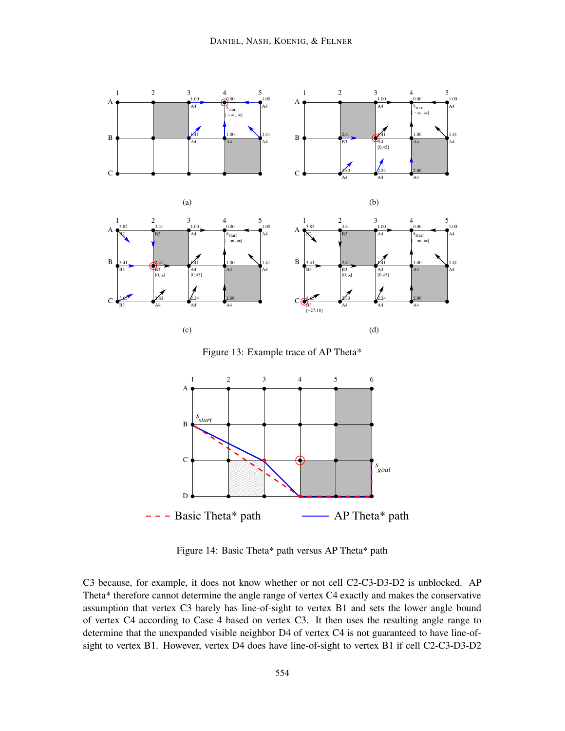

Figure 13: Example trace of AP Theta\*



Figure 14: Basic Theta\* path versus AP Theta\* path

C3 because, for example, it does not know whether or not cell C2-C3-D3-D2 is unblocked. AP Theta\* therefore cannot determine the angle range of vertex C4 exactly and makes the conservative assumption that vertex C3 barely has line-of-sight to vertex B1 and sets the lower angle bound of vertex C4 according to Case 4 based on vertex C3. It then uses the resulting angle range to determine that the unexpanded visible neighbor D4 of vertex C4 is not guaranteed to have line-ofsight to vertex B1. However, vertex D4 does have line-of-sight to vertex B1 if cell C2-C3-D3-D2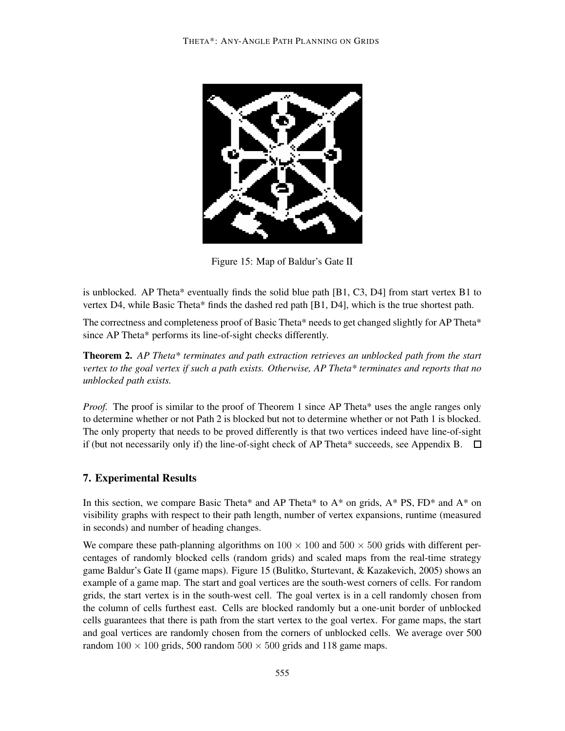

Figure 15: Map of Baldur's Gate II

is unblocked. AP Theta\* eventually finds the solid blue path  $[B1, C3, D4]$  from start vertex B1 to vertex D4, while Basic Theta\* finds the dashed red path [B1, D4], which is the true shortest path.

The correctness and completeness proof of Basic Theta\* needs to get changed slightly for AP Theta\* since AP Theta\* performs its line-of-sight checks differently.

**Theorem 2.** *AP Theta\* terminates and path extraction retrieves an unblocked path from the start vertex to the goal vertex if such a path exists. Otherwise, AP Theta\* terminates and reports that no unblocked path exists.*

*Proof.* The proof is similar to the proof of Theorem 1 since AP Theta\* uses the angle ranges only to determine whether or not Path 2 is blocked but not to determine whether or not Path 1 is blocked. The only property that needs to be proved differently is that two vertices indeed have line-of-sight if (but not necessarily only if) the line-of-sight check of AP Theta\* succeeds, see Appendix B.  $\Box$ 

## **7. Experimental Results**

In this section, we compare Basic Theta\* and AP Theta\* to  $A^*$  on grids,  $A^*$  PS, FD\* and  $A^*$  on visibility graphs with respect to their path length, number of vertex expansions, runtime (measured in seconds) and number of heading changes.

We compare these path-planning algorithms on  $100 \times 100$  and  $500 \times 500$  grids with different percentages of randomly blocked cells (random grids) and scaled maps from the real-time strategy game Baldur's Gate II (game maps). Figure 15 (Bulitko, Sturtevant, & Kazakevich, 2005) shows an example of a game map. The start and goal vertices are the south-west corners of cells. For random grids, the start vertex is in the south-west cell. The goal vertex is in a cell randomly chosen from the column of cells furthest east. Cells are blocked randomly but a one-unit border of unblocked cells guarantees that there is path from the start vertex to the goal vertex. For game maps, the start and goal vertices are randomly chosen from the corners of unblocked cells. We average over 500 random  $100 \times 100$  grids, 500 random  $500 \times 500$  grids and 118 game maps.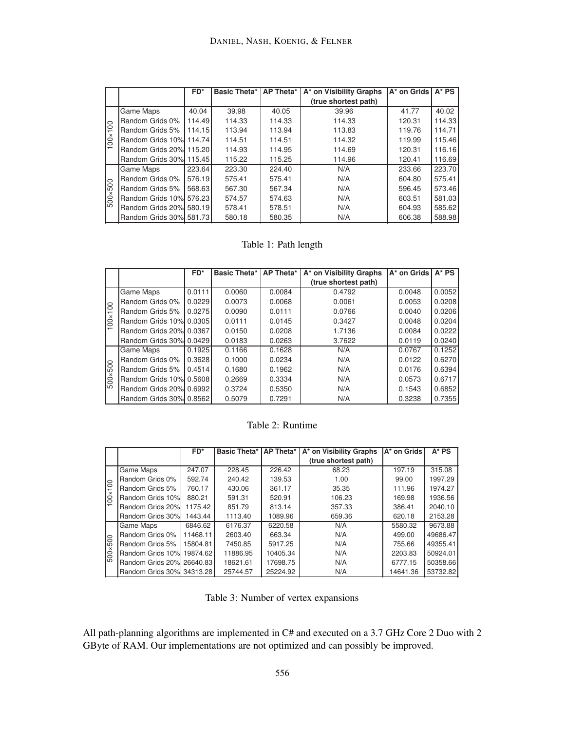|                 |                         | $FD^*$ |        |        | Basic Theta*   AP Theta*   A* on Visibility Graphs | A* on Grids   A* PS |        |
|-----------------|-------------------------|--------|--------|--------|----------------------------------------------------|---------------------|--------|
|                 |                         |        |        |        | (true shortest path)                               |                     |        |
|                 | <b>Game Maps</b>        | 40.04  | 39.98  | 40.05  | 39.96                                              | 41.77               | 40.02  |
|                 | Random Grids 0%         | 114.49 | 114.33 | 114.33 | 114.33                                             | 120.31              | 114.33 |
| 100<br>$\times$ | Random Grids 5%         | 114.15 | 113.94 | 113.94 | 113.83                                             | 119.76              | 114.71 |
| Ŝ               | Random Grids 10% 114.74 |        | 114.51 | 114.51 | 114.32                                             | 119.99              | 115.46 |
|                 | Random Grids 20% 115.20 |        | 114.93 | 114.95 | 114.69                                             | 120.31              | 116.16 |
|                 | Random Grids 30% 115.45 |        | 115.22 | 115.25 | 114.96                                             | 120.41              | 116.69 |
|                 | Game Maps               | 223.64 | 223.30 | 224.40 | N/A                                                | 233.66              | 223.70 |
|                 | Random Grids 0%         | 576.19 | 575.41 | 575.41 | N/A                                                | 604.80              | 575.41 |
| 500             | Random Grids 5%         | 568.63 | 567.30 | 567.34 | N/A                                                | 596.45              | 573.46 |
| $500 \times$    | Random Grids 10% 576.23 |        | 574.57 | 574.63 | N/A                                                | 603.51              | 581.03 |
|                 | Random Grids 20% 580.19 |        | 578.41 | 578.51 | N/A                                                | 604.93              | 585.62 |
|                 | Random Grids 30% 581.73 |        | 580.18 | 580.35 | N/A                                                | 606.38              | 588.98 |

## Table 1: Path length

|              |                          | $FD^*$ | Basic Theta*   AP Theta* |        | A* on Visibility Graphs | A* on Grids I | $A^*$ PS |
|--------------|--------------------------|--------|--------------------------|--------|-------------------------|---------------|----------|
|              |                          |        |                          |        | (true shortest path)    |               |          |
|              | <b>Game Maps</b>         | 0.0111 | 0.0060                   | 0.0084 | 0.4792                  | 0.0048        | 0.0052   |
|              | Random Grids 0%          | 0.0229 | 0.0073                   | 0.0068 | 0.0061                  | 0.0053        | 0.0208   |
| 100          | Random Grids 5%          | 0.0275 | 0.0090                   | 0.0111 | 0.0766                  | 0.0040        | 0.0206   |
| $100 \times$ | Random Grids 10%l 0.0305 |        | 0.0111                   | 0.0145 | 0.3427                  | 0.0048        | 0.0204   |
|              | Random Grids 20% 0.0367  |        | 0.0150                   | 0.0208 | 1.7136                  | 0.0084        | 0.0222   |
|              | Random Grids 30%l 0.0429 |        | 0.0183                   | 0.0263 | 3.7622                  | 0.0119        | 0.0240   |
|              | <b>Game Maps</b>         | 0.1925 | 0.1166                   | 0.1628 | N/A                     | 0.0767        | 0.1252   |
|              | Random Grids 0%          | 0.3628 | 0.1000                   | 0.0234 | N/A                     | 0.0122        | 0.6270   |
| 500          | Random Grids 5%          | 0.4514 | 0.1680                   | 0.1962 | N/A                     | 0.0176        | 0.6394   |
| 500x         | Random Grids 10% 0.5608  |        | 0.2669                   | 0.3334 | N/A                     | 0.0573        | 0.6717   |
|              | Random Grids 20%l 0.6992 |        | 0.3724                   | 0.5350 | N/A                     | 0.1543        | 0.6852   |
|              | Random Grids 30%l 0.8562 |        | 0.5079                   | 0.7291 | N/A                     | 0.3238        | 0.7355   |

Table 2: Runtime

|                  |                           | $FD^*$   | <b>Basic Theta*</b> | AP Theta* | A* on Visibility Graphs | A* on Grids | $A^*$ PS |
|------------------|---------------------------|----------|---------------------|-----------|-------------------------|-------------|----------|
|                  |                           |          |                     |           | (true shortest path)    |             |          |
|                  | <b>Game Maps</b>          | 247.07   | 228.45              | 226.42    | 68.23                   | 197.19      | 315.08   |
|                  | Random Grids 0%           | 592.74   | 240.42              | 139.53    | 1.00                    | 99.00       | 1997.29  |
| $\overline{100}$ | Random Grids 5%           | 760.17   | 430.06              | 361.17    | 35.35                   | 111.96      | 1974.27  |
| $100 \times$     | Random Grids 10%          | 880.21   | 591.31              | 520.91    | 106.23                  | 169.98      | 1936.56  |
|                  | Random Grids 20%l         | 1175.42  | 851.79              | 813.14    | 357.33                  | 386.41      | 2040.10  |
|                  | Random Grids 30%          | 1443.44  | 1113.40             | 1089.96   | 659.36                  | 620.18      | 2153.28  |
|                  | Game Maps                 | 6846.62  | 6176.37             | 6220.58   | N/A                     | 5580.32     | 9673.88  |
|                  | Random Grids 0%           | 11468.11 | 2603.40             | 663.34    | N/A                     | 499.00      | 49686.47 |
| 500×500          | Random Grids 5%           | 15804.81 | 7450.85             | 5917.25   | N/A                     | 755.66      | 49355.41 |
|                  | Random Grids 10% 19874.62 |          | 11886.95            | 10405.34  | N/A                     | 2203.83     | 50924.01 |
|                  | Random Grids 20% 26640.83 |          | 18621.61            | 17698.75  | N/A                     | 6777.15     | 50358.66 |
|                  | Random Grids 30% 34313.28 |          | 25744.57            | 25224.92  | N/A                     | 14641.36    | 53732.82 |

Table 3: Number of vertex expansions

All path-planning algorithms are implemented in C# and executed on a 3.7 GHz Core 2 Duo with 2 GByte of RAM. Our implementations are not optimized and can possibly be improved.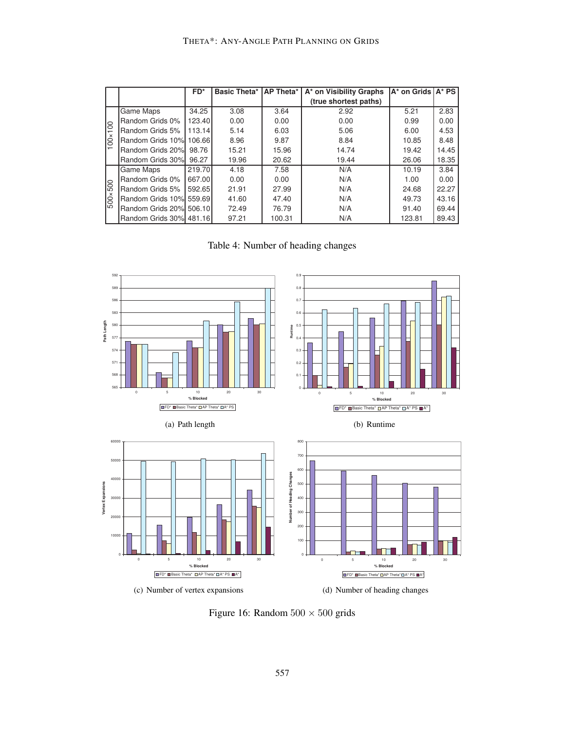|                 |                         | $FD^*$ | Basic Theta*   AP Theta* |        | A* on Visibility Graphs | A* on Grids   A* PS |       |
|-----------------|-------------------------|--------|--------------------------|--------|-------------------------|---------------------|-------|
|                 |                         |        |                          |        | (true shortest paths)   |                     |       |
|                 | <b>Game Maps</b>        | 34.25  | 3.08                     | 3.64   | 2.92                    | 5.21                | 2.83  |
|                 | Random Grids 0%         | 123.40 | 0.00                     | 0.00   | 0.00                    | 0.99                | 0.00  |
| 100<br>$\times$ | Random Grids 5%         | 113.14 | 5.14                     | 6.03   | 5.06                    | 6.00                | 4.53  |
| Ŝ               | Random Grids 10% 106.66 |        | 8.96                     | 9.87   | 8.84                    | 10.85               | 8.48  |
|                 | Random Grids 20%        | 98.76  | 15.21                    | 15.96  | 14.74                   | 19.42               | 14.45 |
|                 | Random Grids 30%        | 96.27  | 19.96                    | 20.62  | 19.44                   | 26.06               | 18.35 |
|                 | Game Maps               | 219.70 | 4.18                     | 7.58   | N/A                     | 10.19               | 3.84  |
|                 | Random Grids 0%         | 667.00 | 0.00                     | 0.00   | N/A                     | 1.00                | 0.00  |
| 500             | Random Grids 5%         | 592.65 | 21.91                    | 27.99  | N/A                     | 24.68               | 22.27 |
| $500\times$     | Random Grids 10% 559.69 |        | 41.60                    | 47.40  | N/A                     | 49.73               | 43.16 |
|                 | Random Grids 20% 506.10 |        | 72.49                    | 76.79  | N/A                     | 91.40               | 69.44 |
|                 | Random Grids 30% 481.16 |        | 97.21                    | 100.31 | N/A                     | 123.81              | 89.43 |

Table 4: Number of heading changes



Figure 16: Random  $500 \times 500$  grids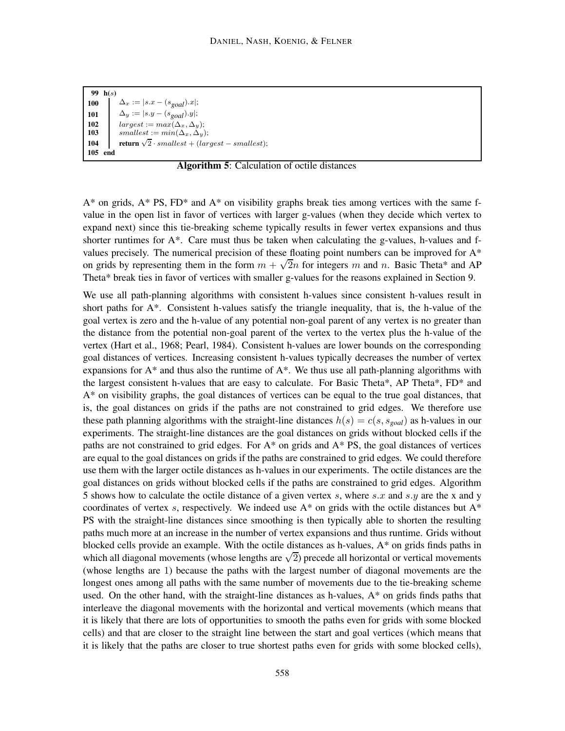**99 h(**s**) 100**  $\Delta_x := |s.x - (s_{goal}).x|;$ **101**  $\Delta_y := |s.y - (s_{goal}).y|;$ <br>**102**  $larest := max(\Delta_x, \Delta_y)$  $largest := max(\Delta_x, \Delta_y);$ **103** smallest :=  $min(\Delta_x, \Delta_y)$ ; **104 return**  $\sqrt{2} \cdot smallest + (largest - smallest);$ **105 end**

**Algorithm 5**: Calculation of octile distances

 $A^*$  on grids,  $A^*$  PS, FD<sup>\*</sup> and  $A^*$  on visibility graphs break ties among vertices with the same fvalue in the open list in favor of vertices with larger g-values (when they decide which vertex to expand next) since this tie-breaking scheme typically results in fewer vertex expansions and thus shorter runtimes for  $A^*$ . Care must thus be taken when calculating the g-values, h-values and fvalues precisely. The numerical precision of these floating point numbers can be improved for A\* on grids by representing them in the form  $m + \sqrt{2n}$  for integers m and n. Basic Theta\* and AP Theta\* break ties in favor of vertices with smaller g-values for the reasons explained in Section 9.

We use all path-planning algorithms with consistent h-values since consistent h-values result in short paths for  $A^*$ . Consistent h-values satisfy the triangle inequality, that is, the h-value of the goal vertex is zero and the h-value of any potential non-goal parent of any vertex is no greater than the distance from the potential non-goal parent of the vertex to the vertex plus the h-value of the vertex (Hart et al., 1968; Pearl, 1984). Consistent h-values are lower bounds on the corresponding goal distances of vertices. Increasing consistent h-values typically decreases the number of vertex expansions for  $A^*$  and thus also the runtime of  $A^*$ . We thus use all path-planning algorithms with the largest consistent h-values that are easy to calculate. For Basic Theta\*, AP Theta\*,  $FD^*$  and A\* on visibility graphs, the goal distances of vertices can be equal to the true goal distances, that is, the goal distances on grids if the paths are not constrained to grid edges. We therefore use these path planning algorithms with the straight-line distances  $h(s) = c(s, s_{goal})$  as h-values in our experiments. The straight-line distances are the goal distances on grids without blocked cells if the paths are not constrained to grid edges. For  $A^*$  on grids and  $A^*$  PS, the goal distances of vertices are equal to the goal distances on grids if the paths are constrained to grid edges. We could therefore use them with the larger octile distances as h-values in our experiments. The octile distances are the goal distances on grids without blocked cells if the paths are constrained to grid edges. Algorithm 5 shows how to calculate the octile distance of a given vertex s, where s.x and s.y are the x and y coordinates of vertex s, respectively. We indeed use  $A^*$  on grids with the octile distances but  $A^*$ PS with the straight-line distances since smoothing is then typically able to shorten the resulting paths much more at an increase in the number of vertex expansions and thus runtime. Grids without blocked cells provide an example. With the octile distances as h-values,  $A^*$  on grids finds paths in which all diagonal movements (whose lengths are  $\sqrt{2}$ ) precede all horizontal or vertical movements (whose lengths are 1) because the paths with the largest number of diagonal movements are the longest ones among all paths with the same number of movements due to the tie-breaking scheme used. On the other hand, with the straight-line distances as h-values,  $A^*$  on grids finds paths that interleave the diagonal movements with the horizontal and vertical movements (which means that it is likely that there are lots of opportunities to smooth the paths even for grids with some blocked cells) and that are closer to the straight line between the start and goal vertices (which means that it is likely that the paths are closer to true shortest paths even for grids with some blocked cells),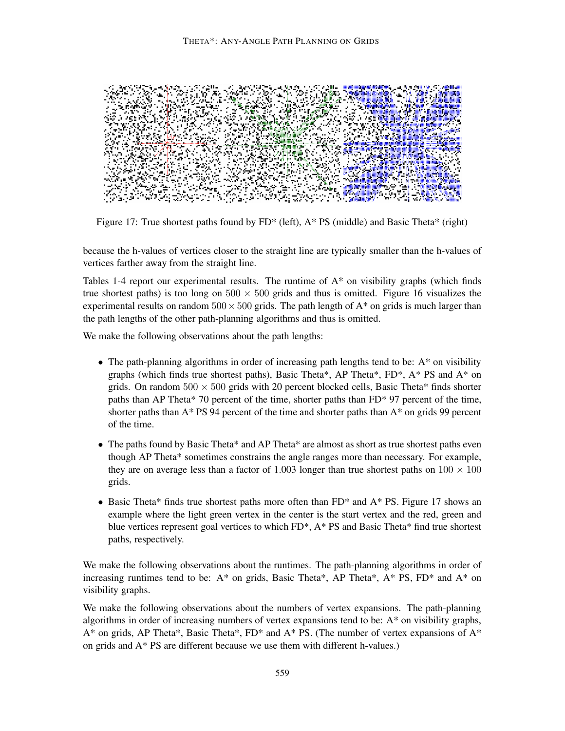

Figure 17: True shortest paths found by  $FD^*$  (left),  $A^*$  PS (middle) and Basic Theta\* (right)

because the h-values of vertices closer to the straight line are typically smaller than the h-values of vertices farther away from the straight line.

Tables 1-4 report our experimental results. The runtime of  $A^*$  on visibility graphs (which finds true shortest paths) is too long on  $500 \times 500$  grids and thus is omitted. Figure 16 visualizes the experimental results on random  $500 \times 500$  grids. The path length of A\* on grids is much larger than the path lengths of the other path-planning algorithms and thus is omitted.

We make the following observations about the path lengths:

- The path-planning algorithms in order of increasing path lengths tend to be: A\* on visibility graphs (which finds true shortest paths), Basic Theta\*, AP Theta\*,  $FD^*$ , A\* PS and A\* on grids. On random  $500 \times 500$  grids with 20 percent blocked cells, Basic Theta\* finds shorter paths than AP Theta\* 70 percent of the time, shorter paths than FD\* 97 percent of the time, shorter paths than  $A^*$  PS 94 percent of the time and shorter paths than  $A^*$  on grids 99 percent of the time.
- The paths found by Basic Theta\* and AP Theta\* are almost as short as true shortest paths even though AP Theta\* sometimes constrains the angle ranges more than necessary. For example, they are on average less than a factor of 1.003 longer than true shortest paths on  $100 \times 100$ grids.
- Basic Theta\* finds true shortest paths more often than FD\* and A\* PS. Figure 17 shows an example where the light green vertex in the center is the start vertex and the red, green and blue vertices represent goal vertices to which FD\*, A\* PS and Basic Theta\* find true shortest paths, respectively.

We make the following observations about the runtimes. The path-planning algorithms in order of increasing runtimes tend to be:  $A^*$  on grids, Basic Theta\*, AP Theta\*,  $A^*$  PS, FD\* and  $A^*$  on visibility graphs.

We make the following observations about the numbers of vertex expansions. The path-planning algorithms in order of increasing numbers of vertex expansions tend to be:  $A^*$  on visibility graphs,  $A^*$  on grids, AP Theta\*, Basic Theta\*, FD\* and  $A^*$  PS. (The number of vertex expansions of  $A^*$ on grids and A\* PS are different because we use them with different h-values.)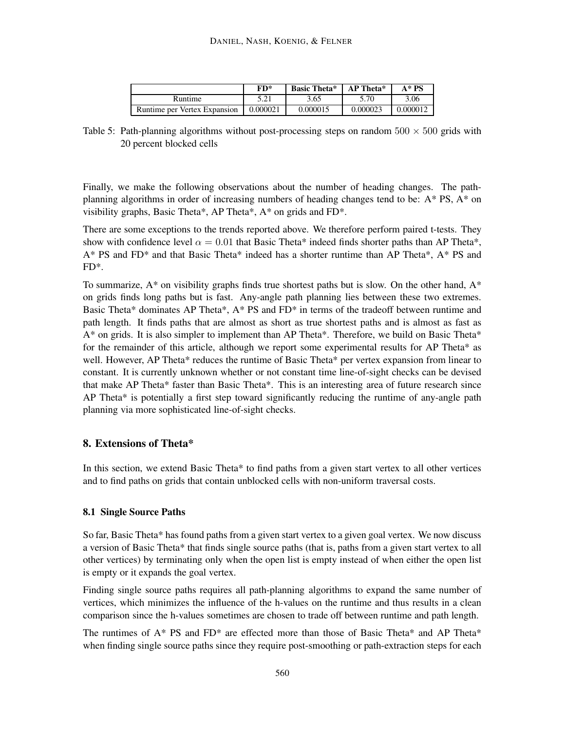|                              | FD*      | <b>Basic Theta*</b> | AP Theta* | $A^* PS$ |
|------------------------------|----------|---------------------|-----------|----------|
| Runtime                      | 5.21     | 3.65                | 5.70      | 3.06     |
| Runtime per Vertex Expansion | 0.000021 | 0.000015            | 0.000023  | 0.000012 |

Table 5: Path-planning algorithms without post-processing steps on random  $500 \times 500$  grids with 20 percent blocked cells

Finally, we make the following observations about the number of heading changes. The pathplanning algorithms in order of increasing numbers of heading changes tend to be:  $A^*$  PS,  $A^*$  on visibility graphs, Basic Theta\*, AP Theta\*, A\* on grids and FD\*.

There are some exceptions to the trends reported above. We therefore perform paired t-tests. They show with confidence level  $\alpha = 0.01$  that Basic Theta\* indeed finds shorter paths than AP Theta\*, A\* PS and FD\* and that Basic Theta\* indeed has a shorter runtime than AP Theta\*, A\* PS and FD\*.

To summarize,  $A^*$  on visibility graphs finds true shortest paths but is slow. On the other hand,  $A^*$ on grids finds long paths but is fast. Any-angle path planning lies between these two extremes. Basic Theta\* dominates AP Theta\*, A\* PS and FD\* in terms of the tradeoff between runtime and path length. It finds paths that are almost as short as true shortest paths and is almost as fast as A\* on grids. It is also simpler to implement than AP Theta\*. Therefore, we build on Basic Theta\* for the remainder of this article, although we report some experimental results for AP Theta\* as well. However, AP Theta\* reduces the runtime of Basic Theta\* per vertex expansion from linear to constant. It is currently unknown whether or not constant time line-of-sight checks can be devised that make AP Theta\* faster than Basic Theta\*. This is an interesting area of future research since AP Theta\* is potentially a first step toward significantly reducing the runtime of any-angle path planning via more sophisticated line-of-sight checks.

## **8. Extensions of Theta\***

In this section, we extend Basic Theta\* to find paths from a given start vertex to all other vertices and to find paths on grids that contain unblocked cells with non-uniform traversal costs.

### **8.1 Single Source Paths**

So far, Basic Theta\* has found paths from a given start vertex to a given goal vertex. We now discuss a version of Basic Theta\* that finds single source paths (that is, paths from a given start vertex to all other vertices) by terminating only when the open list is empty instead of when either the open list is empty or it expands the goal vertex.

Finding single source paths requires all path-planning algorithms to expand the same number of vertices, which minimizes the influence of the h-values on the runtime and thus results in a clean comparison since the h-values sometimes are chosen to trade off between runtime and path length.

The runtimes of  $A^*$  PS and  $FD^*$  are effected more than those of Basic Theta\* and AP Theta\* when finding single source paths since they require post-smoothing or path-extraction steps for each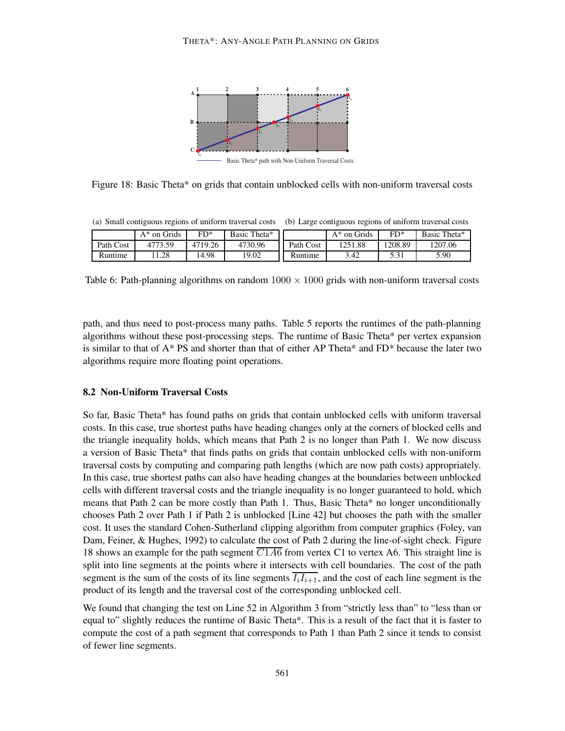

Figure 18: Basic Theta\* on grids that contain unblocked cells with non-uniform traversal costs

(a) Small contiguous regions of uniform traversal costs (b) Large contiguous regions of uniform traversal costs

|           | $A^*$ on Grids | $FD*$   | Basic Theta* |           | $A^*$ on Grids | $FD*$   | Basic Theta* |
|-----------|----------------|---------|--------------|-----------|----------------|---------|--------------|
| Path Cost | 4773.59        | 4719.26 | 4730.96      | Path Cost | 1251.88        | 1208.89 | 1207.06      |
| Runtime   | .28            | 4.98    | 19.02        | Runtime   | 3.42           | J.J 1   | 5.90         |

Table 6: Path-planning algorithms on random  $1000 \times 1000$  grids with non-uniform traversal costs

path, and thus need to post-process many paths. Table 5 reports the runtimes of the path-planning algorithms without these post-processing steps. The runtime of Basic Theta\* per vertex expansion is similar to that of A\* PS and shorter than that of either AP Theta\* and FD\* because the later two algorithms require more floating point operations.

#### **8.2 Non-Uniform Traversal Costs**

So far, Basic Theta\* has found paths on grids that contain unblocked cells with uniform traversal costs. In this case, true shortest paths have heading changes only at the corners of blocked cells and the triangle inequality holds, which means that Path 2 is no longer than Path 1. We now discuss a version of Basic Theta\* that finds paths on grids that contain unblocked cells with non-uniform traversal costs by computing and comparing path lengths (which are now path costs) appropriately. In this case, true shortest paths can also have heading changes at the boundaries between unblocked cells with different traversal costs and the triangle inequality is no longer guaranteed to hold, which means that Path 2 can be more costly than Path 1. Thus, Basic Theta\* no longer unconditionally chooses Path 2 over Path 1 if Path 2 is unblocked [Line 42] but chooses the path with the smaller cost. It uses the standard Cohen-Sutherland clipping algorithm from computer graphics (Foley, van Dam, Feiner, & Hughes, 1992) to calculate the cost of Path 2 during the line-of-sight check. Figure 18 shows an example for the path segment  $\overline{C1A6}$  from vertex C1 to vertex A6. This straight line is split into line segments at the points where it intersects with cell boundaries. The cost of the path segment is the sum of the costs of its line segments  $\overline{I_i}I_{i+1}$ , and the cost of each line segment is the product of its length and the traversal cost of the corresponding unblocked cell.

We found that changing the test on Line 52 in Algorithm 3 from "strictly less than" to "less than or equal to" slightly reduces the runtime of Basic Theta\*. This is a result of the fact that it is faster to compute the cost of a path segment that corresponds to Path 1 than Path 2 since it tends to consist of fewer line segments.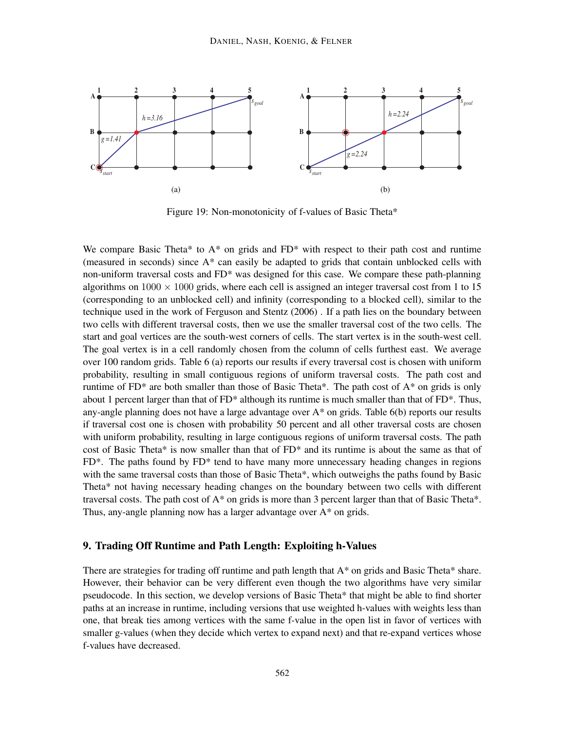

Figure 19: Non-monotonicity of f-values of Basic Theta\*

We compare Basic Theta\* to  $A^*$  on grids and  $FD^*$  with respect to their path cost and runtime (measured in seconds) since A\* can easily be adapted to grids that contain unblocked cells with non-uniform traversal costs and FD\* was designed for this case. We compare these path-planning algorithms on  $1000 \times 1000$  grids, where each cell is assigned an integer traversal cost from 1 to 15 (corresponding to an unblocked cell) and infinity (corresponding to a blocked cell), similar to the technique used in the work of Ferguson and Stentz (2006) . If a path lies on the boundary between two cells with different traversal costs, then we use the smaller traversal cost of the two cells. The start and goal vertices are the south-west corners of cells. The start vertex is in the south-west cell. The goal vertex is in a cell randomly chosen from the column of cells furthest east. We average over 100 random grids. Table 6 (a) reports our results if every traversal cost is chosen with uniform probability, resulting in small contiguous regions of uniform traversal costs. The path cost and runtime of  $FD^*$  are both smaller than those of Basic Theta\*. The path cost of  $A^*$  on grids is only about 1 percent larger than that of  $FD^*$  although its runtime is much smaller than that of  $FD^*$ . Thus, any-angle planning does not have a large advantage over  $A^*$  on grids. Table 6(b) reports our results if traversal cost one is chosen with probability 50 percent and all other traversal costs are chosen with uniform probability, resulting in large contiguous regions of uniform traversal costs. The path cost of Basic Theta\* is now smaller than that of  $FD^*$  and its runtime is about the same as that of FD\*. The paths found by FD\* tend to have many more unnecessary heading changes in regions with the same traversal costs than those of Basic Theta\*, which outweighs the paths found by Basic Theta\* not having necessary heading changes on the boundary between two cells with different traversal costs. The path cost of  $A^*$  on grids is more than 3 percent larger than that of Basic Theta\*. Thus, any-angle planning now has a larger advantage over A\* on grids.

#### **9. Trading Off Runtime and Path Length: Exploiting h-Values**

There are strategies for trading off runtime and path length that  $A^*$  on grids and Basic Theta\* share. However, their behavior can be very different even though the two algorithms have very similar pseudocode. In this section, we develop versions of Basic Theta\* that might be able to find shorter paths at an increase in runtime, including versions that use weighted h-values with weights less than one, that break ties among vertices with the same f-value in the open list in favor of vertices with smaller g-values (when they decide which vertex to expand next) and that re-expand vertices whose f-values have decreased.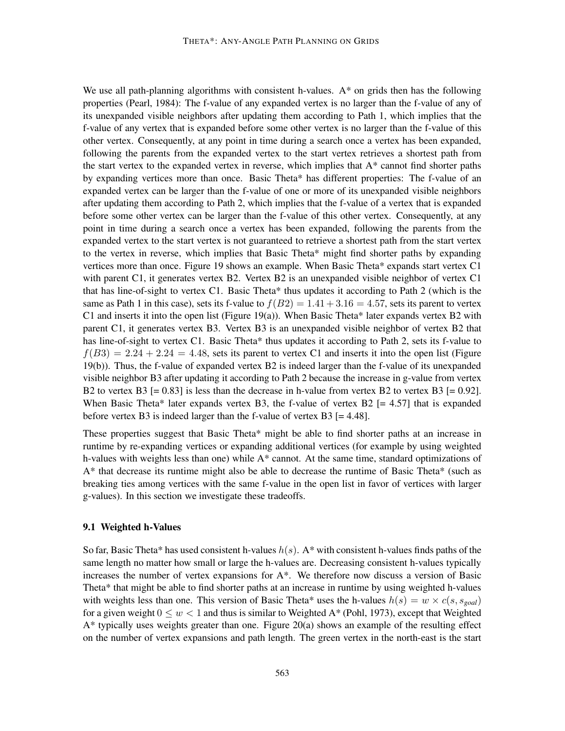We use all path-planning algorithms with consistent h-values.  $A^*$  on grids then has the following properties (Pearl, 1984): The f-value of any expanded vertex is no larger than the f-value of any of its unexpanded visible neighbors after updating them according to Path 1, which implies that the f-value of any vertex that is expanded before some other vertex is no larger than the f-value of this other vertex. Consequently, at any point in time during a search once a vertex has been expanded, following the parents from the expanded vertex to the start vertex retrieves a shortest path from the start vertex to the expanded vertex in reverse, which implies that  $A^*$  cannot find shorter paths by expanding vertices more than once. Basic Theta\* has different properties: The f-value of an expanded vertex can be larger than the f-value of one or more of its unexpanded visible neighbors after updating them according to Path 2, which implies that the f-value of a vertex that is expanded before some other vertex can be larger than the f-value of this other vertex. Consequently, at any point in time during a search once a vertex has been expanded, following the parents from the expanded vertex to the start vertex is not guaranteed to retrieve a shortest path from the start vertex to the vertex in reverse, which implies that Basic Theta\* might find shorter paths by expanding vertices more than once. Figure 19 shows an example. When Basic Theta\* expands start vertex C1 with parent C1, it generates vertex B2. Vertex B2 is an unexpanded visible neighbor of vertex C1 that has line-of-sight to vertex C1. Basic Theta\* thus updates it according to Path 2 (which is the same as Path 1 in this case), sets its f-value to  $f(B2) = 1.41 + 3.16 = 4.57$ , sets its parent to vertex C1 and inserts it into the open list (Figure 19(a)). When Basic Theta\* later expands vertex B2 with parent C1, it generates vertex B3. Vertex B3 is an unexpanded visible neighbor of vertex B2 that has line-of-sight to vertex C1. Basic Theta\* thus updates it according to Path 2, sets its f-value to  $f(B3) = 2.24 + 2.24 = 4.48$ , sets its parent to vertex C1 and inserts it into the open list (Figure 19(b)). Thus, the f-value of expanded vertex B2 is indeed larger than the f-value of its unexpanded visible neighbor B3 after updating it according to Path 2 because the increase in g-value from vertex B2 to vertex B3  $[= 0.83]$  is less than the decrease in h-value from vertex B2 to vertex B3  $[= 0.92]$ . When Basic Theta\* later expands vertex B3, the f-value of vertex  $B2$  [= 4.57] that is expanded before vertex B3 is indeed larger than the f-value of vertex B3 [= 4.48].

These properties suggest that Basic Theta\* might be able to find shorter paths at an increase in runtime by re-expanding vertices or expanding additional vertices (for example by using weighted h-values with weights less than one) while A\* cannot. At the same time, standard optimizations of A\* that decrease its runtime might also be able to decrease the runtime of Basic Theta\* (such as breaking ties among vertices with the same f-value in the open list in favor of vertices with larger g-values). In this section we investigate these tradeoffs.

#### **9.1 Weighted h-Values**

So far, Basic Theta\* has used consistent h-values  $h(s)$ . A\* with consistent h-values finds paths of the same length no matter how small or large the h-values are. Decreasing consistent h-values typically increases the number of vertex expansions for A\*. We therefore now discuss a version of Basic Theta\* that might be able to find shorter paths at an increase in runtime by using weighted h-values with weights less than one. This version of Basic Theta\* uses the h-values  $h(s) = w \times c(s, s_{goal})$ for a given weight  $0 \leq w < 1$  and thus is similar to Weighted A\* (Pohl, 1973), except that Weighted  $A^*$  typically uses weights greater than one. Figure 20(a) shows an example of the resulting effect on the number of vertex expansions and path length. The green vertex in the north-east is the start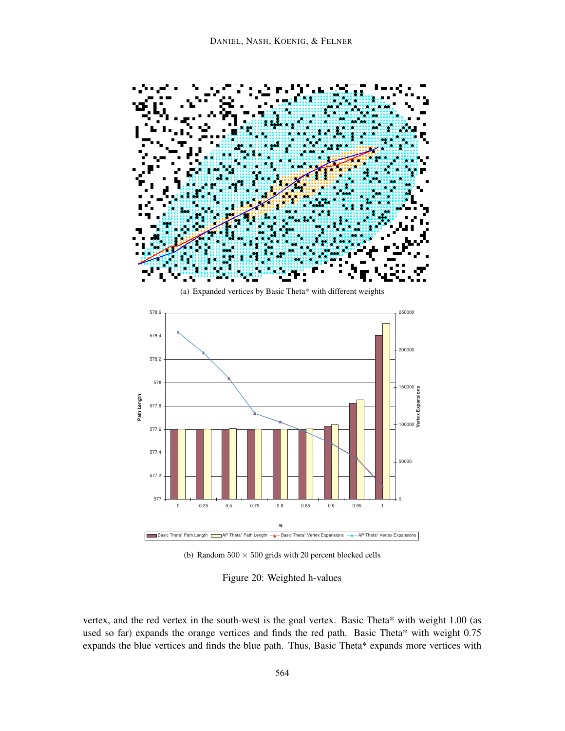

(a) Expanded vertices by Basic Theta\* with different weights



(b) Random  $500 \times 500$  grids with 20 percent blocked cells

Figure 20: Weighted h-values

vertex, and the red vertex in the south-west is the goal vertex. Basic Theta\* with weight 1.00 (as used so far) expands the orange vertices and finds the red path. Basic Theta\* with weight 0.75 expands the blue vertices and finds the blue path. Thus, Basic Theta\* expands more vertices with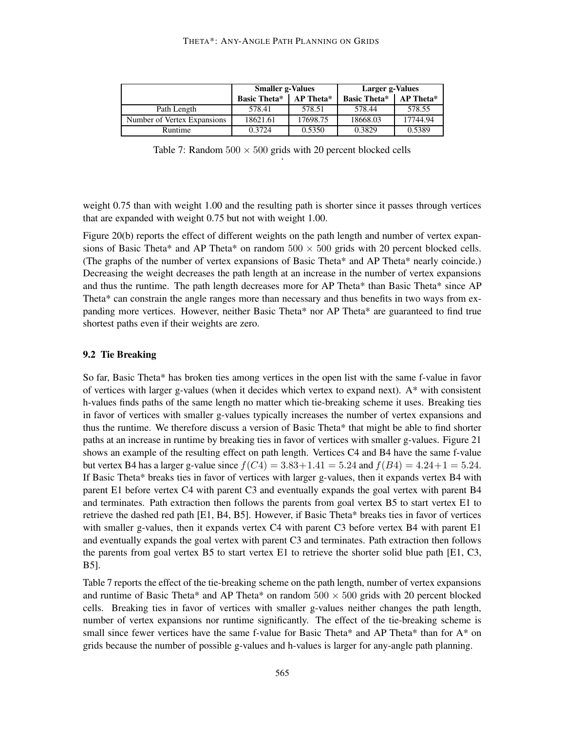|                             | <b>Smaller g-Values</b> |                  | Larger g-Values     |           |  |
|-----------------------------|-------------------------|------------------|---------------------|-----------|--|
|                             | <b>Basic Theta*</b>     | <b>AP</b> Theta* | <b>Basic Theta*</b> | AP Theta* |  |
| Path Length                 | 578.41                  | 578.51           | 578.44              | 578.55    |  |
| Number of Vertex Expansions | 18621.61                | 17698.75         | 18668.03            | 17744.94  |  |
| Runtime                     | 0.3724                  | 0.5350           | 0.3829              | 0.5389    |  |

Table 7: Random  $500 \times 500$  grids with 20 percent blocked cells '

weight 0.75 than with weight 1.00 and the resulting path is shorter since it passes through vertices that are expanded with weight 0.75 but not with weight 1.00.

Figure 20(b) reports the effect of different weights on the path length and number of vertex expansions of Basic Theta\* and AP Theta\* on random  $500 \times 500$  grids with 20 percent blocked cells. (The graphs of the number of vertex expansions of Basic Theta\* and AP Theta\* nearly coincide.) Decreasing the weight decreases the path length at an increase in the number of vertex expansions and thus the runtime. The path length decreases more for AP Theta\* than Basic Theta\* since AP Theta\* can constrain the angle ranges more than necessary and thus benefits in two ways from expanding more vertices. However, neither Basic Theta\* nor AP Theta\* are guaranteed to find true shortest paths even if their weights are zero.

#### **9.2 Tie Breaking**

So far, Basic Theta\* has broken ties among vertices in the open list with the same f-value in favor of vertices with larger g-values (when it decides which vertex to expand next).  $A^*$  with consistent h-values finds paths of the same length no matter which tie-breaking scheme it uses. Breaking ties in favor of vertices with smaller g-values typically increases the number of vertex expansions and thus the runtime. We therefore discuss a version of Basic Theta\* that might be able to find shorter paths at an increase in runtime by breaking ties in favor of vertices with smaller g-values. Figure 21 shows an example of the resulting effect on path length. Vertices C4 and B4 have the same f-value but vertex B4 has a larger g-value since  $f(C4) = 3.83 + 1.41 = 5.24$  and  $f(B4) = 4.24 + 1 = 5.24$ . If Basic Theta\* breaks ties in favor of vertices with larger g-values, then it expands vertex B4 with parent E1 before vertex C4 with parent C3 and eventually expands the goal vertex with parent B4 and terminates. Path extraction then follows the parents from goal vertex B5 to start vertex E1 to retrieve the dashed red path [E1, B4, B5]. However, if Basic Theta\* breaks ties in favor of vertices with smaller g-values, then it expands vertex C4 with parent C3 before vertex B4 with parent E1 and eventually expands the goal vertex with parent C3 and terminates. Path extraction then follows the parents from goal vertex B5 to start vertex E1 to retrieve the shorter solid blue path [E1, C3, B5].

Table 7 reports the effect of the tie-breaking scheme on the path length, number of vertex expansions and runtime of Basic Theta\* and AP Theta\* on random  $500 \times 500$  grids with 20 percent blocked cells. Breaking ties in favor of vertices with smaller g-values neither changes the path length, number of vertex expansions nor runtime significantly. The effect of the tie-breaking scheme is small since fewer vertices have the same f-value for Basic Theta\* and AP Theta\* than for A\* on grids because the number of possible g-values and h-values is larger for any-angle path planning.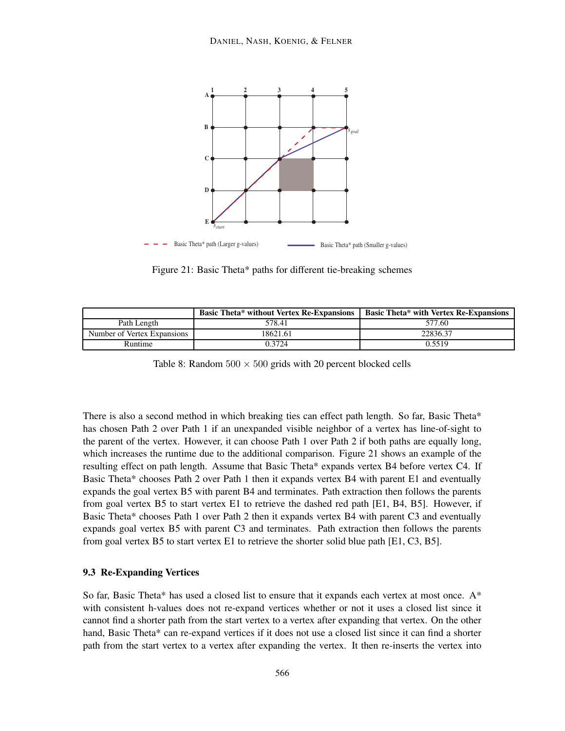

Figure 21: Basic Theta\* paths for different tie-breaking schemes

|                             | <b>Basic Theta* without Vertex Re-Expansions</b> | <b>Basic Theta* with Vertex Re-Expansions</b> |
|-----------------------------|--------------------------------------------------|-----------------------------------------------|
| Path Length                 | 578.41                                           | 577.60                                        |
| Number of Vertex Expansions | 18621.61                                         | 22836.37                                      |
| Runtime                     | 0.3724                                           | 0.5519                                        |

Table 8: Random  $500 \times 500$  grids with 20 percent blocked cells

There is also a second method in which breaking ties can effect path length. So far, Basic Theta\* has chosen Path 2 over Path 1 if an unexpanded visible neighbor of a vertex has line-of-sight to the parent of the vertex. However, it can choose Path 1 over Path 2 if both paths are equally long, which increases the runtime due to the additional comparison. Figure 21 shows an example of the resulting effect on path length. Assume that Basic Theta\* expands vertex B4 before vertex C4. If Basic Theta\* chooses Path 2 over Path 1 then it expands vertex B4 with parent E1 and eventually expands the goal vertex B5 with parent B4 and terminates. Path extraction then follows the parents from goal vertex B5 to start vertex E1 to retrieve the dashed red path [E1, B4, B5]. However, if Basic Theta\* chooses Path 1 over Path 2 then it expands vertex B4 with parent C3 and eventually expands goal vertex B5 with parent C3 and terminates. Path extraction then follows the parents from goal vertex B5 to start vertex E1 to retrieve the shorter solid blue path [E1, C3, B5].

## **9.3 Re-Expanding Vertices**

So far, Basic Theta\* has used a closed list to ensure that it expands each vertex at most once.  $A^*$ with consistent h-values does not re-expand vertices whether or not it uses a closed list since it cannot find a shorter path from the start vertex to a vertex after expanding that vertex. On the other hand, Basic Theta\* can re-expand vertices if it does not use a closed list since it can find a shorter path from the start vertex to a vertex after expanding the vertex. It then re-inserts the vertex into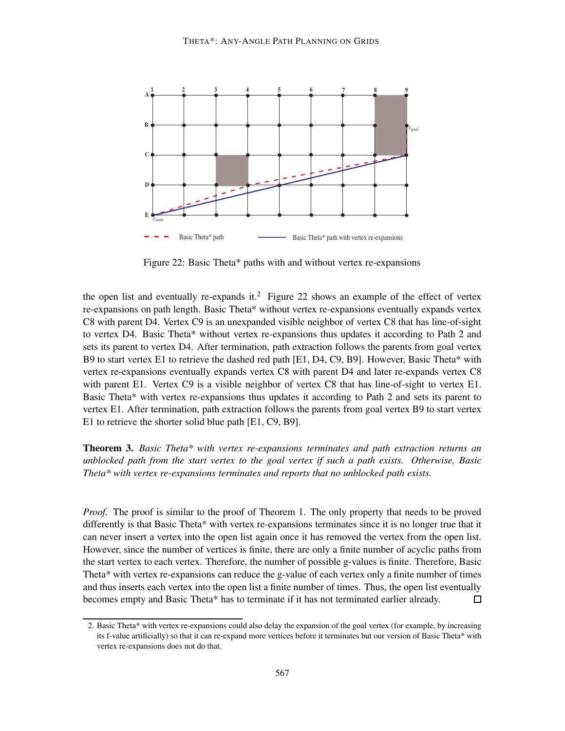

Figure 22: Basic Theta\* paths with and without vertex re-expansions

the open list and eventually re-expands it.<sup>2</sup> Figure 22 shows an example of the effect of vertex re-expansions on path length. Basic Theta\* without vertex re-expansions eventually expands vertex C8 with parent D4. Vertex C9 is an unexpanded visible neighbor of vertex C8 that has line-of-sight to vertex D4. Basic Theta\* without vertex re-expansions thus updates it according to Path 2 and sets its parent to vertex D4. After termination, path extraction follows the parents from goal vertex B9 to start vertex E1 to retrieve the dashed red path [E1, D4, C9, B9]. However, Basic Theta\* with vertex re-expansions eventually expands vertex C8 with parent D4 and later re-expands vertex C8 with parent E1. Vertex C9 is a visible neighbor of vertex C8 that has line-of-sight to vertex E1. Basic Theta\* with vertex re-expansions thus updates it according to Path 2 and sets its parent to vertex E1. After termination, path extraction follows the parents from goal vertex B9 to start vertex E1 to retrieve the shorter solid blue path [E1, C9, B9].

**Theorem 3.** *Basic Theta\* with vertex re-expansions terminates and path extraction returns an unblocked path from the start vertex to the goal vertex if such a path exists. Otherwise, Basic Theta\* with vertex re-expansions terminates and reports that no unblocked path exists.*

*Proof.* The proof is similar to the proof of Theorem 1. The only property that needs to be proved differently is that Basic Theta\* with vertex re-expansions terminates since it is no longer true that it can never insert a vertex into the open list again once it has removed the vertex from the open list. However, since the number of vertices is finite, there are only a finite number of acyclic paths from the start vertex to each vertex. Therefore, the number of possible g-values is finite. Therefore, Basic Theta\* with vertex re-expansions can reduce the g-value of each vertex only a finite number of times and thus inserts each vertex into the open list a finite number of times. Thus, the open list eventually becomes empty and Basic Theta\* has to terminate if it has not terminated earlier already.  $\Box$ 

<sup>2.</sup> Basic Theta\* with vertex re-expansions could also delay the expansion of the goal vertex (for example, by increasing its f-value artificially) so that it can re-expand more vertices before it terminates but our version of Basic Theta\* with vertex re-expansions does not do that.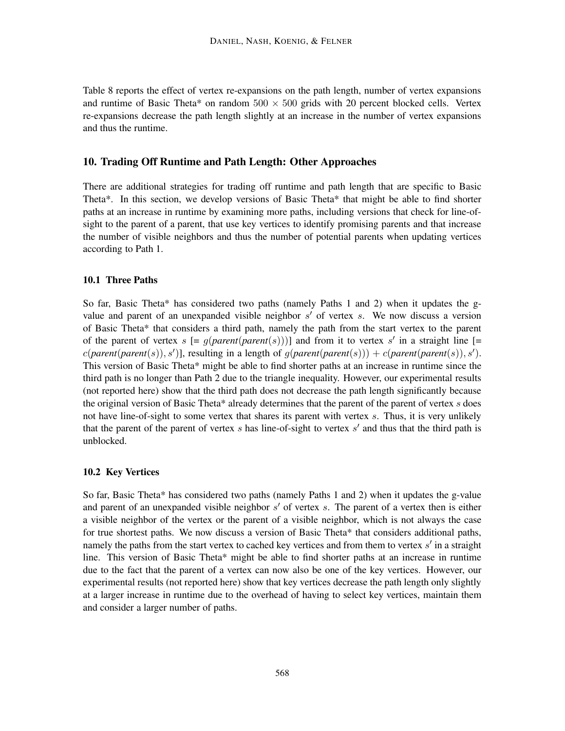Table 8 reports the effect of vertex re-expansions on the path length, number of vertex expansions and runtime of Basic Theta\* on random  $500 \times 500$  grids with 20 percent blocked cells. Vertex re-expansions decrease the path length slightly at an increase in the number of vertex expansions and thus the runtime.

## **10. Trading Off Runtime and Path Length: Other Approaches**

There are additional strategies for trading off runtime and path length that are specific to Basic Theta\*. In this section, we develop versions of Basic Theta\* that might be able to find shorter paths at an increase in runtime by examining more paths, including versions that check for line-ofsight to the parent of a parent, that use key vertices to identify promising parents and that increase the number of visible neighbors and thus the number of potential parents when updating vertices according to Path 1.

#### **10.1 Three Paths**

So far, Basic Theta\* has considered two paths (namely Paths 1 and 2) when it updates the gvalue and parent of an unexpanded visible neighbor  $s'$  of vertex s. We now discuss a version of Basic Theta\* that considers a third path, namely the path from the start vertex to the parent of the parent of vertex  $s$  [=  $g(parent(parent(s)))$ ] and from it to vertex s' in a straight line [=  $c(parent(parent(s)), s')$ ], resulting in a length of  $g(parent(parent(s))) + c(parent(parent(s)), s').$ This version of Basic Theta\* might be able to find shorter paths at an increase in runtime since the third path is no longer than Path 2 due to the triangle inequality. However, our experimental results (not reported here) show that the third path does not decrease the path length significantly because the original version of Basic Theta\* already determines that the parent of the parent of vertex  $s$  does not have line-of-sight to some vertex that shares its parent with vertex s. Thus, it is very unlikely that the parent of the parent of vertex  $s$  has line-of-sight to vertex  $s'$  and thus that the third path is unblocked.

## **10.2 Key Vertices**

So far, Basic Theta\* has considered two paths (namely Paths 1 and 2) when it updates the g-value and parent of an unexpanded visible neighbor  $s'$  of vertex  $s$ . The parent of a vertex then is either a visible neighbor of the vertex or the parent of a visible neighbor, which is not always the case for true shortest paths. We now discuss a version of Basic Theta\* that considers additional paths, namely the paths from the start vertex to cached key vertices and from them to vertex  $s'$  in a straight line. This version of Basic Theta\* might be able to find shorter paths at an increase in runtime due to the fact that the parent of a vertex can now also be one of the key vertices. However, our experimental results (not reported here) show that key vertices decrease the path length only slightly at a larger increase in runtime due to the overhead of having to select key vertices, maintain them and consider a larger number of paths.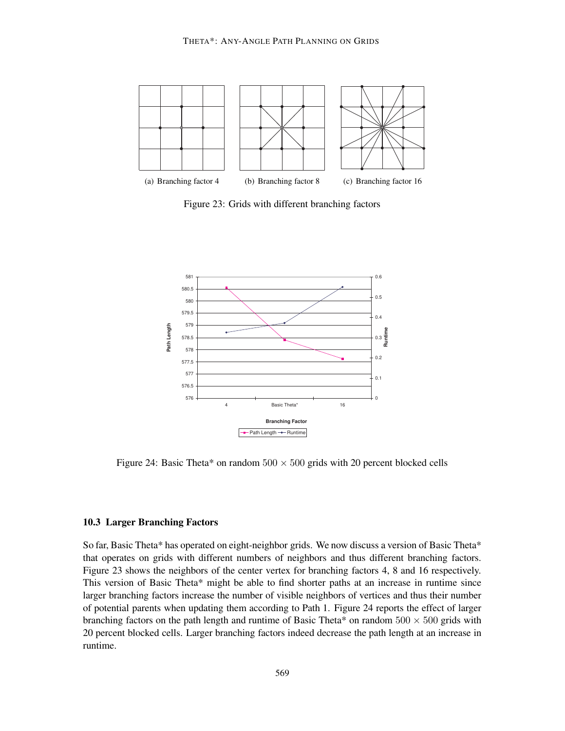

Figure 23: Grids with different branching factors



Figure 24: Basic Theta\* on random  $500 \times 500$  grids with 20 percent blocked cells

#### **10.3 Larger Branching Factors**

So far, Basic Theta\* has operated on eight-neighbor grids. We now discuss a version of Basic Theta\* that operates on grids with different numbers of neighbors and thus different branching factors. Figure 23 shows the neighbors of the center vertex for branching factors 4, 8 and 16 respectively. This version of Basic Theta\* might be able to find shorter paths at an increase in runtime since larger branching factors increase the number of visible neighbors of vertices and thus their number of potential parents when updating them according to Path 1. Figure 24 reports the effect of larger branching factors on the path length and runtime of Basic Theta\* on random  $500 \times 500$  grids with 20 percent blocked cells. Larger branching factors indeed decrease the path length at an increase in runtime.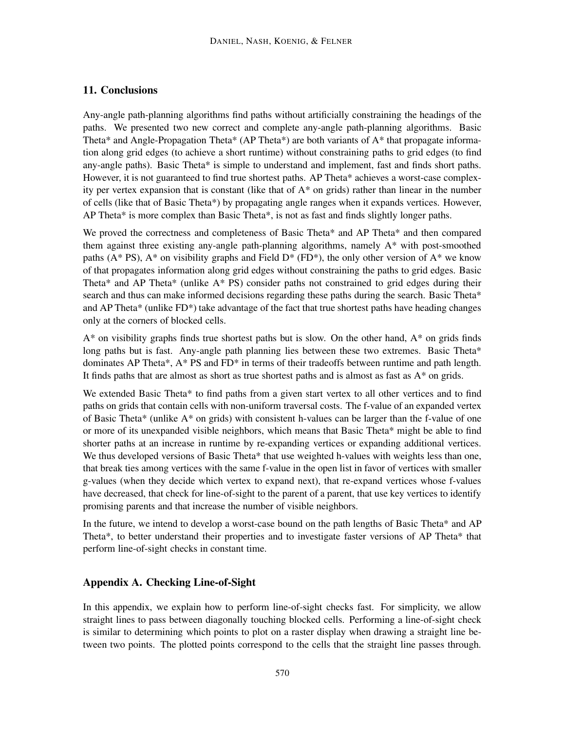## **11. Conclusions**

Any-angle path-planning algorithms find paths without artificially constraining the headings of the paths. We presented two new correct and complete any-angle path-planning algorithms. Basic Theta\* and Angle-Propagation Theta\* (AP Theta\*) are both variants of A\* that propagate information along grid edges (to achieve a short runtime) without constraining paths to grid edges (to find any-angle paths). Basic Theta\* is simple to understand and implement, fast and finds short paths. However, it is not guaranteed to find true shortest paths. AP Theta\* achieves a worst-case complexity per vertex expansion that is constant (like that of  $A^*$  on grids) rather than linear in the number of cells (like that of Basic Theta\*) by propagating angle ranges when it expands vertices. However, AP Theta\* is more complex than Basic Theta\*, is not as fast and finds slightly longer paths.

We proved the correctness and completeness of Basic Theta\* and AP Theta\* and then compared them against three existing any-angle path-planning algorithms, namely A\* with post-smoothed paths ( $A^*$  PS),  $A^*$  on visibility graphs and Field  $D^*$  (FD<sup>\*</sup>), the only other version of  $A^*$  we know of that propagates information along grid edges without constraining the paths to grid edges. Basic Theta\* and AP Theta\* (unlike  $A^*$  PS) consider paths not constrained to grid edges during their search and thus can make informed decisions regarding these paths during the search. Basic Theta\* and AP Theta\* (unlike FD\*) take advantage of the fact that true shortest paths have heading changes only at the corners of blocked cells.

 $A^*$  on visibility graphs finds true shortest paths but is slow. On the other hand,  $A^*$  on grids finds long paths but is fast. Any-angle path planning lies between these two extremes. Basic Theta\* dominates AP Theta\*, A\* PS and FD\* in terms of their tradeoffs between runtime and path length. It finds paths that are almost as short as true shortest paths and is almost as fast as  $A^*$  on grids.

We extended Basic Theta\* to find paths from a given start vertex to all other vertices and to find paths on grids that contain cells with non-uniform traversal costs. The f-value of an expanded vertex of Basic Theta\* (unlike A\* on grids) with consistent h-values can be larger than the f-value of one or more of its unexpanded visible neighbors, which means that Basic Theta\* might be able to find shorter paths at an increase in runtime by re-expanding vertices or expanding additional vertices. We thus developed versions of Basic Theta\* that use weighted h-values with weights less than one, that break ties among vertices with the same f-value in the open list in favor of vertices with smaller g-values (when they decide which vertex to expand next), that re-expand vertices whose f-values have decreased, that check for line-of-sight to the parent of a parent, that use key vertices to identify promising parents and that increase the number of visible neighbors.

In the future, we intend to develop a worst-case bound on the path lengths of Basic Theta\* and AP Theta\*, to better understand their properties and to investigate faster versions of AP Theta\* that perform line-of-sight checks in constant time.

## **Appendix A. Checking Line-of-Sight**

In this appendix, we explain how to perform line-of-sight checks fast. For simplicity, we allow straight lines to pass between diagonally touching blocked cells. Performing a line-of-sight check is similar to determining which points to plot on a raster display when drawing a straight line between two points. The plotted points correspond to the cells that the straight line passes through.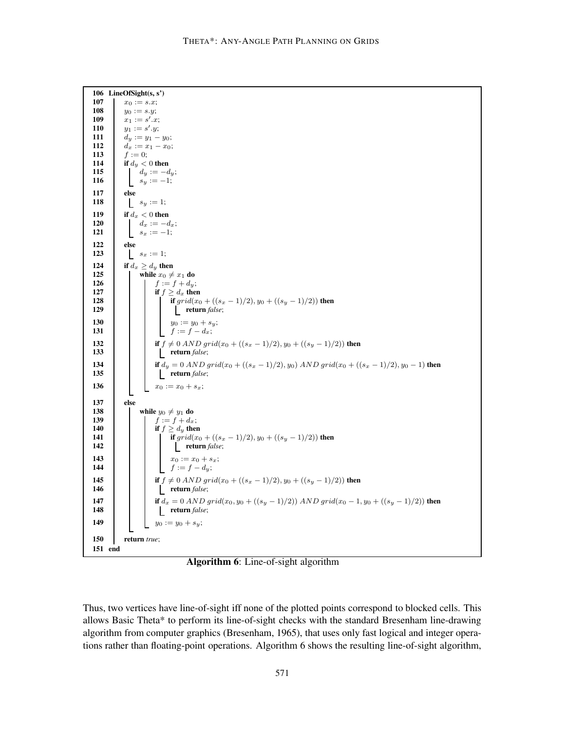

**Algorithm 6**: Line-of-sight algorithm

Thus, two vertices have line-of-sight iff none of the plotted points correspond to blocked cells. This allows Basic Theta\* to perform its line-of-sight checks with the standard Bresenham line-drawing algorithm from computer graphics (Bresenham, 1965), that uses only fast logical and integer operations rather than floating-point operations. Algorithm 6 shows the resulting line-of-sight algorithm,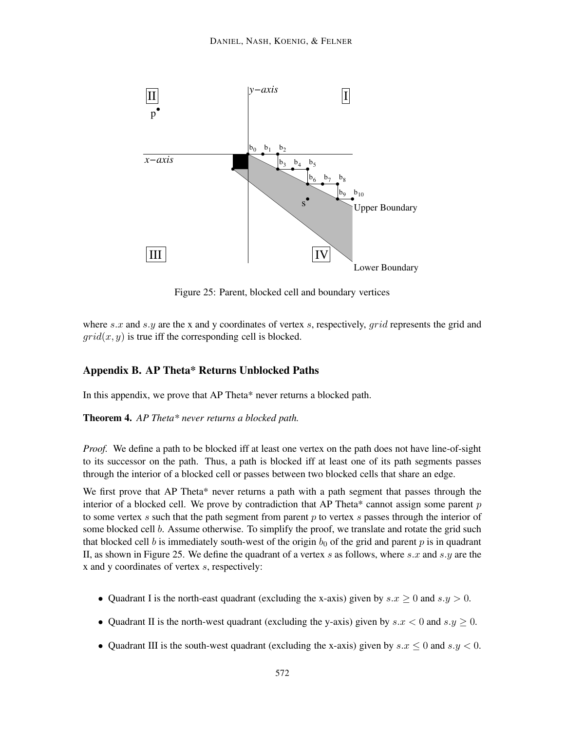

Figure 25: Parent, blocked cell and boundary vertices

where s.x and s.y are the x and y coordinates of vertex s, respectively,  $grid$  represents the grid and  $grid(x, y)$  is true iff the corresponding cell is blocked.

## **Appendix B. AP Theta\* Returns Unblocked Paths**

In this appendix, we prove that AP Theta\* never returns a blocked path.

**Theorem 4.** *AP Theta\* never returns a blocked path.*

*Proof.* We define a path to be blocked iff at least one vertex on the path does not have line-of-sight to its successor on the path. Thus, a path is blocked iff at least one of its path segments passes through the interior of a blocked cell or passes between two blocked cells that share an edge.

We first prove that AP Theta\* never returns a path with a path segment that passes through the interior of a blocked cell. We prove by contradiction that AP Theta\* cannot assign some parent  $p$ to some vertex  $s$  such that the path segment from parent  $p$  to vertex  $s$  passes through the interior of some blocked cell b. Assume otherwise. To simplify the proof, we translate and rotate the grid such that blocked cell b is immediately south-west of the origin  $b_0$  of the grid and parent p is in quadrant II, as shown in Figure 25. We define the quadrant of a vertex s as follows, where s.x and s.y are the x and y coordinates of vertex s, respectively:

- Quadrant I is the north-east quadrant (excluding the x-axis) given by  $s.x \geq 0$  and  $s.y > 0$ .
- Quadrant II is the north-west quadrant (excluding the y-axis) given by  $s.x < 0$  and  $s.y \ge 0$ .
- Quadrant III is the south-west quadrant (excluding the x-axis) given by  $s.x \leq 0$  and  $s.y < 0$ .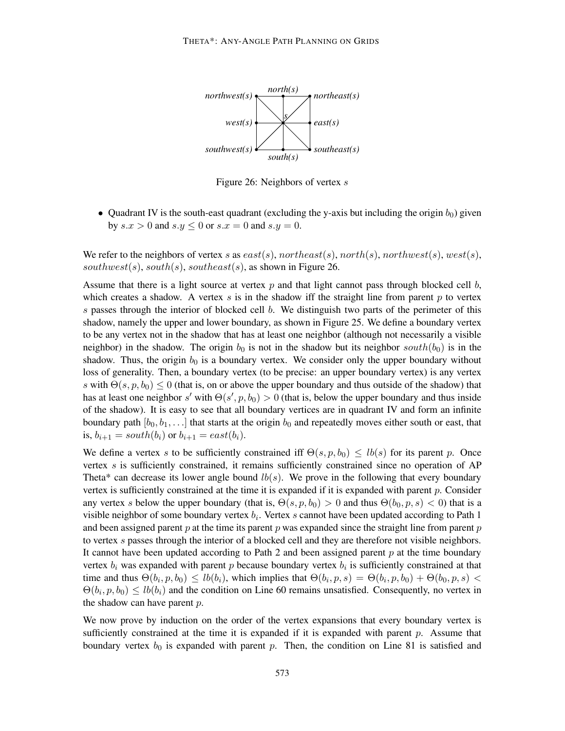

Figure 26: Neighbors of vertex s

• Quadrant IV is the south-east quadrant (excluding the y-axis but including the origin  $b_0$ ) given by  $s.x > 0$  and  $s.y \leq 0$  or  $s.x = 0$  and  $s.y = 0$ .

We refer to the neighbors of vertex s as  $east(s)$ , northeast(s), north(s), northwest(s), west(s), southwest(s), south(s), southeast(s), as shown in Figure 26.

Assume that there is a light source at vertex  $p$  and that light cannot pass through blocked cell  $b$ , which creates a shadow. A vertex  $s$  is in the shadow iff the straight line from parent  $p$  to vertex s passes through the interior of blocked cell  $b$ . We distinguish two parts of the perimeter of this shadow, namely the upper and lower boundary, as shown in Figure 25. We define a boundary vertex to be any vertex not in the shadow that has at least one neighbor (although not necessarily a visible neighbor) in the shadow. The origin  $b_0$  is not in the shadow but its neighbor south $(b_0)$  is in the shadow. Thus, the origin  $b_0$  is a boundary vertex. We consider only the upper boundary without loss of generality. Then, a boundary vertex (to be precise: an upper boundary vertex) is any vertex s with  $\Theta(s, p, b_0) \leq 0$  (that is, on or above the upper boundary and thus outside of the shadow) that has at least one neighbor s' with  $\Theta(s', p, b_0) > 0$  (that is, below the upper boundary and thus inside of the shadow). It is easy to see that all boundary vertices are in quadrant IV and form an infinite boundary path  $[b_0, b_1, \ldots]$  that starts at the origin  $b_0$  and repeatedly moves either south or east, that is,  $b_{i+1} = south(b_i)$  or  $b_{i+1} = east(b_i)$ .

We define a vertex s to be sufficiently constrained iff  $\Theta(s, p, b_0) \leq lb(s)$  for its parent p. Once vertex s is sufficiently constrained, it remains sufficiently constrained since no operation of AP Theta\* can decrease its lower angle bound  $lb(s)$ . We prove in the following that every boundary vertex is sufficiently constrained at the time it is expanded if it is expanded with parent  $p$ . Consider any vertex s below the upper boundary (that is,  $\Theta(s, p, b_0) > 0$  and thus  $\Theta(b_0, p, s) < 0$ ) that is a visible neighbor of some boundary vertex  $b_i$ . Vertex s cannot have been updated according to Path 1 and been assigned parent  $p$  at the time its parent  $p$  was expanded since the straight line from parent  $p$ to vertex s passes through the interior of a blocked cell and they are therefore not visible neighbors. It cannot have been updated according to Path 2 and been assigned parent  $p$  at the time boundary vertex  $b_i$  was expanded with parent p because boundary vertex  $b_i$  is sufficiently constrained at that time and thus  $\Theta(b_i, p, b_0) \leq lb(b_i)$ , which implies that  $\Theta(b_i, p, s) = \Theta(b_i, p, b_0) + \Theta(b_0, p, s)$  $\Theta(b_i, p, b_0) \leq lb(b_i)$  and the condition on Line 60 remains unsatisfied. Consequently, no vertex in the shadow can have parent  $p$ .

We now prove by induction on the order of the vertex expansions that every boundary vertex is sufficiently constrained at the time it is expanded if it is expanded with parent  $p$ . Assume that boundary vertex  $b_0$  is expanded with parent p. Then, the condition on Line 81 is satisfied and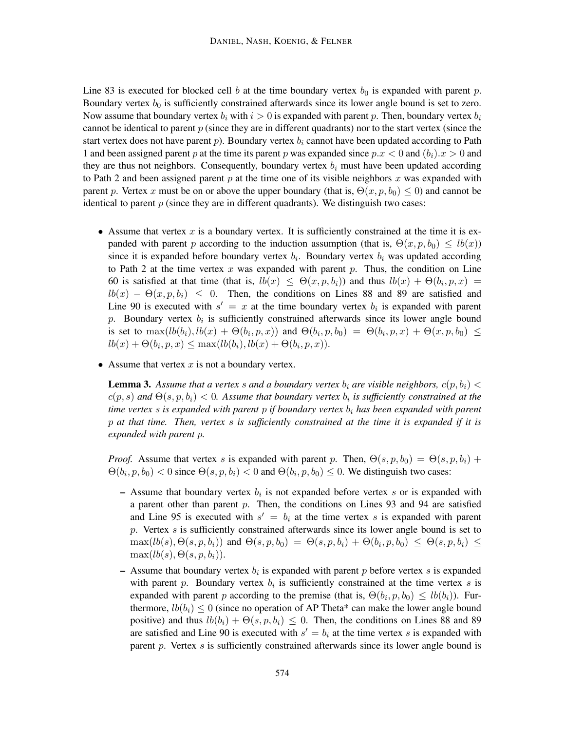Line 83 is executed for blocked cell b at the time boundary vertex  $b_0$  is expanded with parent p. Boundary vertex  $b_0$  is sufficiently constrained afterwards since its lower angle bound is set to zero. Now assume that boundary vertex  $b_i$  with  $i > 0$  is expanded with parent p. Then, boundary vertex  $b_i$ cannot be identical to parent  $p$  (since they are in different quadrants) nor to the start vertex (since the start vertex does not have parent p). Boundary vertex  $b_i$  cannot have been updated according to Path 1 and been assigned parent p at the time its parent p was expanded since  $p.x < 0$  and  $(b_i).x > 0$  and they are thus not neighbors. Consequently, boundary vertex  $b_i$  must have been updated according to Path 2 and been assigned parent  $p$  at the time one of its visible neighbors  $x$  was expanded with parent p. Vertex x must be on or above the upper boundary (that is,  $\Theta(x, p, b_0) \leq 0$ ) and cannot be identical to parent  $p$  (since they are in different quadrants). We distinguish two cases:

- Assume that vertex  $x$  is a boundary vertex. It is sufficiently constrained at the time it is expanded with parent p according to the induction assumption (that is,  $\Theta(x, p, b_0) \leq lb(x)$ ) since it is expanded before boundary vertex  $b_i$ . Boundary vertex  $b_i$  was updated according to Path 2 at the time vertex x was expanded with parent  $p$ . Thus, the condition on Line 60 is satisfied at that time (that is,  $lb(x) \leq \Theta(x, p, b_i)$ ) and thus  $lb(x) + \Theta(b_i, p, x) =$  $lb(x) - \Theta(x, p, b_i) \leq 0$ . Then, the conditions on Lines 88 and 89 are satisfied and Line 90 is executed with  $s' = x$  at the time boundary vertex  $b_i$  is expanded with parent p. Boundary vertex  $b_i$  is sufficiently constrained afterwards since its lower angle bound is set to  $\max(lb(b_i), lb(x) + \Theta(b_i, p, x))$  and  $\Theta(b_i, p, b_0) = \Theta(b_i, p, x) + \Theta(x, p, b_0) \le$  $lb(x) + \Theta(b_i, p, x) \le \max(lb(b_i), lb(x) + \Theta(b_i, p, x)).$
- Assume that vertex  $x$  is not a boundary vertex.

**Lemma 3.** Assume that a vertex s and a boundary vertex  $b_i$  are visible neighbors,  $c(p, b_i)$  <  $c(p, s)$  and  $\Theta(s, p, b_i) < 0$ . Assume that boundary vertex  $b_i$  is sufficiently constrained at the *time vertex s is expanded with parent p if boundary vertex*  $b_i$  *has been expanded with parent* p *at that time. Then, vertex* s *is sufficiently constrained at the time it is expanded if it is expanded with parent* p*.*

*Proof.* Assume that vertex s is expanded with parent p. Then,  $\Theta(s, p, b_0) = \Theta(s, p, b_i) +$  $\Theta(b_i, p, b_0) < 0$  since  $\Theta(s, p, b_i) < 0$  and  $\Theta(b_i, p, b_0) \le 0$ . We distinguish two cases:

- $-$  Assume that boundary vertex  $b_i$  is not expanded before vertex s or is expanded with a parent other than parent  $p$ . Then, the conditions on Lines 93 and 94 are satisfied and Line 95 is executed with  $s' = b_i$  at the time vertex s is expanded with parent  $p$ . Vertex  $s$  is sufficiently constrained afterwards since its lower angle bound is set to  $\max(lb(s), \Theta(s, p, b_i))$  and  $\Theta(s, p, b_0) = \Theta(s, p, b_i) + \Theta(b_i, p, b_0) \leq \Theta(s, p, b_i) \leq$  $\max(lb(s), \Theta(s, p, b_i)).$
- $-$  Assume that boundary vertex  $b_i$  is expanded with parent p before vertex s is expanded with parent p. Boundary vertex  $b_i$  is sufficiently constrained at the time vertex s is expanded with parent p according to the premise (that is,  $\Theta(b_i, p, b_0) \leq lb(b_i)$ ). Furthermore,  $lb(b_i) \leq 0$  (since no operation of AP Theta\* can make the lower angle bound positive) and thus  $lb(b_i) + \Theta(s, p, b_i) \leq 0$ . Then, the conditions on Lines 88 and 89 are satisfied and Line 90 is executed with  $s' = b_i$  at the time vertex s is expanded with parent p. Vertex  $s$  is sufficiently constrained afterwards since its lower angle bound is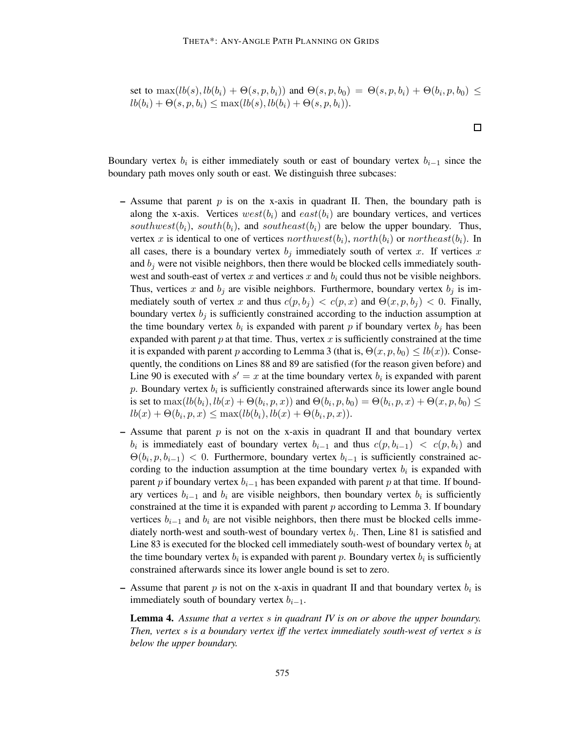set to 
$$
\max(lb(s),lb(b_i) + \Theta(s,p,b_i))
$$
 and  $\Theta(s,p,b_0) = \Theta(s,p,b_i) + \Theta(b_i,p,b_0) \leq lb(b_i) + \Theta(s,p,b_i) \leq \max(lb(s),lb(b_i) + \Theta(s,p,b_i)).$ 

 $\Box$ 

Boundary vertex  $b_i$  is either immediately south or east of boundary vertex  $b_{i-1}$  since the boundary path moves only south or east. We distinguish three subcases:

- **–** Assume that parent p is on the x-axis in quadrant II. Then, the boundary path is along the x-axis. Vertices  $west(b_i)$  and  $east(b_i)$  are boundary vertices, and vertices southwest(b<sub>i</sub>), south(b<sub>i</sub>), and southeast(b<sub>i</sub>) are below the upper boundary. Thus, vertex x is identical to one of vertices northwest(b<sub>i</sub>), north(b<sub>i</sub>) or northeast(b<sub>i</sub>). In all cases, there is a boundary vertex  $b_j$  immediately south of vertex x. If vertices x and  $b_i$  were not visible neighbors, then there would be blocked cells immediately southwest and south-east of vertex x and vertices x and  $b_i$  could thus not be visible neighbors. Thus, vertices x and  $b_j$  are visible neighbors. Furthermore, boundary vertex  $b_j$  is immediately south of vertex x and thus  $c(p, b_j) < c(p, x)$  and  $\Theta(x, p, b_j) < 0$ . Finally, boundary vertex  $b_j$  is sufficiently constrained according to the induction assumption at the time boundary vertex  $b_i$  is expanded with parent p if boundary vertex  $b_j$  has been expanded with parent  $p$  at that time. Thus, vertex  $x$  is sufficiently constrained at the time it is expanded with parent p according to Lemma 3 (that is,  $\Theta(x, p, b_0) \leq lb(x)$ ). Consequently, the conditions on Lines 88 and 89 are satisfied (for the reason given before) and Line 90 is executed with  $s' = x$  at the time boundary vertex  $b_i$  is expanded with parent  $p$ . Boundary vertex  $b_i$  is sufficiently constrained afterwards since its lower angle bound is set to  $\max(lb(b_i), lb(x) + \Theta(b_i, p, x))$  and  $\Theta(b_i, p, b_0) = \Theta(b_i, p, x) + \Theta(x, p, b_0) \le$  $lb(x) + \Theta(b_i, p, x) \le \max(lb(b_i), lb(x) + \Theta(b_i, p, x)).$
- $-$  Assume that parent  $p$  is not on the x-axis in quadrant II and that boundary vertex  $b_i$  is immediately east of boundary vertex  $b_{i-1}$  and thus  $c(p, b_{i-1}) < c(p, b_i)$  and  $\Theta(b_i, p, b_{i-1})$  < 0. Furthermore, boundary vertex  $b_{i-1}$  is sufficiently constrained according to the induction assumption at the time boundary vertex  $b_i$  is expanded with parent p if boundary vertex  $b_{i-1}$  has been expanded with parent p at that time. If boundary vertices  $b_{i-1}$  and  $b_i$  are visible neighbors, then boundary vertex  $b_i$  is sufficiently constrained at the time it is expanded with parent  $p$  according to Lemma 3. If boundary vertices  $b_{i-1}$  and  $b_i$  are not visible neighbors, then there must be blocked cells immediately north-west and south-west of boundary vertex  $b_i$ . Then, Line 81 is satisfied and Line 83 is executed for the blocked cell immediately south-west of boundary vertex  $b_i$  at the time boundary vertex  $b_i$  is expanded with parent p. Boundary vertex  $b_i$  is sufficiently constrained afterwards since its lower angle bound is set to zero.
- $-$  Assume that parent p is not on the x-axis in quadrant II and that boundary vertex  $b_i$  is immediately south of boundary vertex  $b_{i-1}$ .

**Lemma 4.** *Assume that a vertex* s *in quadrant IV is on or above the upper boundary. Then, vertex* s *is a boundary vertex iff the vertex immediately south-west of vertex* s *is below the upper boundary.*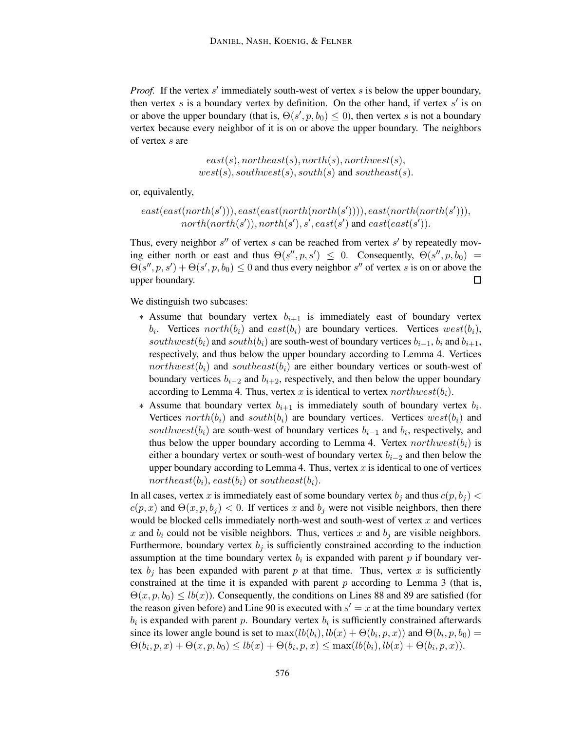*Proof.* If the vertex s' immediately south-west of vertex s is below the upper boundary, then vertex  $s$  is a boundary vertex by definition. On the other hand, if vertex  $s'$  is on or above the upper boundary (that is,  $\Theta(s', p, b_0) \leq 0$ ), then vertex s is not a boundary vertex because every neighbor of it is on or above the upper boundary. The neighbors of vertex s are

> $east(s), northeast(s), north(s), northwest(s),$  $west(s), southwest(s), south(s)$  and southeast(s).

or, equivalently,

$$
east(east(north(s'))), east(east(north( north(s')))), east( north( north(s'))),\n \quad north( north(s'), north(s'), s', east(s') \text{ and } east( east(s')).
$$

Thus, every neighbor  $s''$  of vertex  $s$  can be reached from vertex  $s'$  by repeatedly moving either north or east and thus  $\Theta(s'', p, s') \leq 0$ . Consequently,  $\Theta(s'', p, b_0) =$  $\Theta(s'', p, s') + \Theta(s', p, b_0) \le 0$  and thus every neighbor s'' of vertex s is on or above the upper boundary.  $\Box$ 

We distinguish two subcases:

- \* Assume that boundary vertex  $b_{i+1}$  is immediately east of boundary vertex  $b_i$ . Vertices  $north(b_i)$  and  $east(b_i)$  are boundary vertices. Vertices  $west(b_i)$ , southwest( $b_i$ ) and south $(b_i)$  are south-west of boundary vertices  $b_{i-1}$ ,  $b_i$  and  $b_{i+1}$ , respectively, and thus below the upper boundary according to Lemma 4. Vertices northwest( $b_i$ ) and southeast( $b_i$ ) are either boundary vertices or south-west of boundary vertices  $b_{i-2}$  and  $b_{i+2}$ , respectively, and then below the upper boundary according to Lemma 4. Thus, vertex x is identical to vertex northwest( $b_i$ ).
- ∗ Assume that boundary vertex  $b_{i+1}$  is immediately south of boundary vertex  $b_i$ . Vertices north $(b_i)$  and south $(b_i)$  are boundary vertices. Vertices west $(b_i)$  and southwest( $b_i$ ) are south-west of boundary vertices  $b_{i-1}$  and  $b_i$ , respectively, and thus below the upper boundary according to Lemma 4. Vertex  $northwest(b_i)$  is either a boundary vertex or south-west of boundary vertex  $b_{i-2}$  and then below the upper boundary according to Lemma 4. Thus, vertex  $x$  is identical to one of vertices northeast $(b_i)$ , east $(b_i)$  or southeast $(b_i)$ .

In all cases, vertex x is immediately east of some boundary vertex  $b_j$  and thus  $c(p, b_j)$  <  $c(p, x)$  and  $\Theta(x, p, b_i) < 0$ . If vertices x and  $b_i$  were not visible neighbors, then there would be blocked cells immediately north-west and south-west of vertex  $x$  and vertices x and  $b_i$  could not be visible neighbors. Thus, vertices x and  $b_i$  are visible neighbors. Furthermore, boundary vertex  $b_j$  is sufficiently constrained according to the induction assumption at the time boundary vertex  $b_i$  is expanded with parent p if boundary vertex  $b_j$  has been expanded with parent p at that time. Thus, vertex x is sufficiently constrained at the time it is expanded with parent  $p$  according to Lemma 3 (that is,  $\Theta(x, p, b_0) \le lb(x)$ ). Consequently, the conditions on Lines 88 and 89 are satisfied (for the reason given before) and Line 90 is executed with  $s' = x$  at the time boundary vertex  $b_i$  is expanded with parent p. Boundary vertex  $b_i$  is sufficiently constrained afterwards since its lower angle bound is set to  $\max(lb(b_i), lb(x) + \Theta(b_i, p, x))$  and  $\Theta(b_i, p, b_0) =$  $\Theta(b_i, p, x) + \Theta(x, p, b_0) \le lb(x) + \Theta(b_i, p, x) \le max(lb(b_i), lb(x) + \Theta(b_i, p, x)).$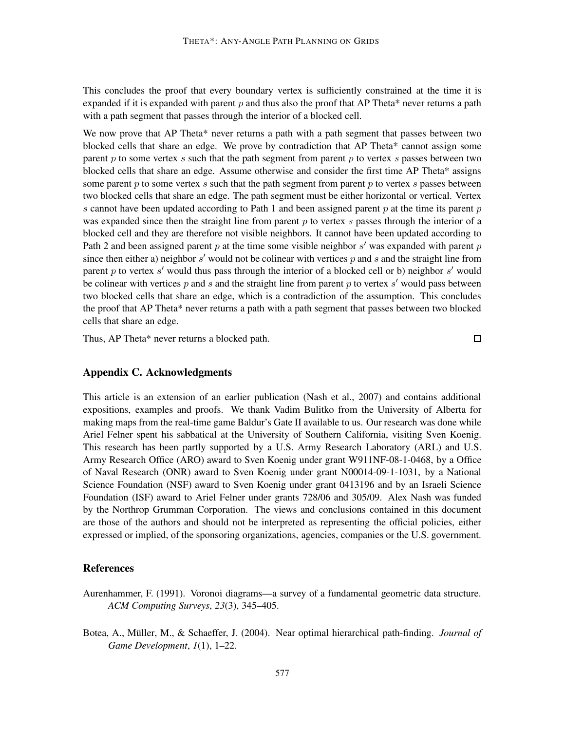This concludes the proof that every boundary vertex is sufficiently constrained at the time it is expanded if it is expanded with parent  $p$  and thus also the proof that AP Theta\* never returns a path with a path segment that passes through the interior of a blocked cell.

We now prove that AP Theta\* never returns a path with a path segment that passes between two blocked cells that share an edge. We prove by contradiction that AP Theta\* cannot assign some parent  $p$  to some vertex  $s$  such that the path segment from parent  $p$  to vertex  $s$  passes between two blocked cells that share an edge. Assume otherwise and consider the first time AP Theta\* assigns some parent  $p$  to some vertex  $s$  such that the path segment from parent  $p$  to vertex  $s$  passes between two blocked cells that share an edge. The path segment must be either horizontal or vertical. Vertex s cannot have been updated according to Path 1 and been assigned parent  $p$  at the time its parent  $p$ was expanded since then the straight line from parent  $p$  to vertex  $s$  passes through the interior of a blocked cell and they are therefore not visible neighbors. It cannot have been updated according to Path 2 and been assigned parent  $p$  at the time some visible neighbor  $s'$  was expanded with parent  $p$ since then either a) neighbor  $s'$  would not be colinear with vertices  $p$  and  $s$  and the straight line from parent p to vertex  $s'$  would thus pass through the interior of a blocked cell or b) neighbor  $s'$  would be colinear with vertices  $p$  and  $s$  and the straight line from parent  $p$  to vertex  $s'$  would pass between two blocked cells that share an edge, which is a contradiction of the assumption. This concludes the proof that AP Theta\* never returns a path with a path segment that passes between two blocked cells that share an edge.

Thus, AP Theta\* never returns a blocked path.

 $\Box$ 

#### **Appendix C. Acknowledgments**

This article is an extension of an earlier publication (Nash et al., 2007) and contains additional expositions, examples and proofs. We thank Vadim Bulitko from the University of Alberta for making maps from the real-time game Baldur's Gate II available to us. Our research was done while Ariel Felner spent his sabbatical at the University of Southern California, visiting Sven Koenig. This research has been partly supported by a U.S. Army Research Laboratory (ARL) and U.S. Army Research Office (ARO) award to Sven Koenig under grant W911NF-08-1-0468, by a Office of Naval Research (ONR) award to Sven Koenig under grant N00014-09-1-1031, by a National Science Foundation (NSF) award to Sven Koenig under grant 0413196 and by an Israeli Science Foundation (ISF) award to Ariel Felner under grants 728/06 and 305/09. Alex Nash was funded by the Northrop Grumman Corporation. The views and conclusions contained in this document are those of the authors and should not be interpreted as representing the official policies, either expressed or implied, of the sponsoring organizations, agencies, companies or the U.S. government.

## **References**

- Aurenhammer, F. (1991). Voronoi diagrams—a survey of a fundamental geometric data structure. *ACM Computing Surveys*, *23*(3), 345–405.
- Botea, A., M¨uller, M., & Schaeffer, J. (2004). Near optimal hierarchical path-finding. *Journal of Game Development*, *1*(1), 1–22.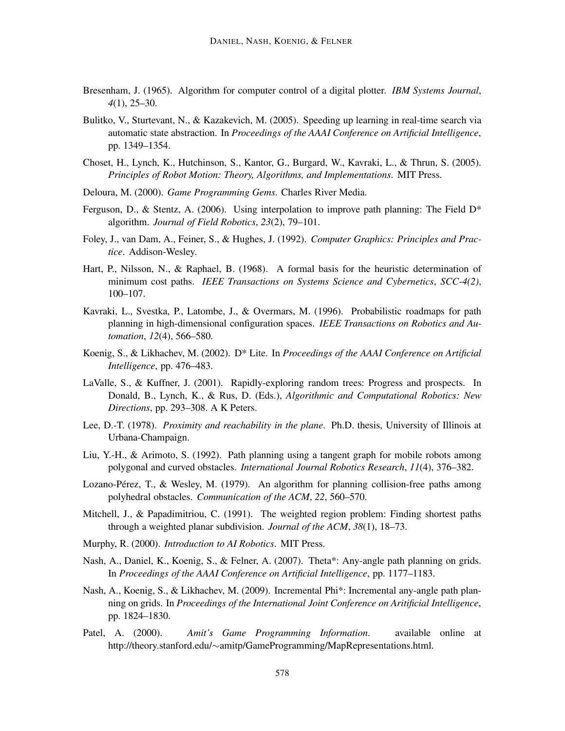- Bresenham, J. (1965). Algorithm for computer control of a digital plotter. *IBM Systems Journal*, *4*(1), 25–30.
- Bulitko, V., Sturtevant, N., & Kazakevich, M. (2005). Speeding up learning in real-time search via automatic state abstraction. In *Proceedings of the AAAI Conference on Artificial Intelligence*, pp. 1349–1354.
- Choset, H., Lynch, K., Hutchinson, S., Kantor, G., Burgard, W., Kavraki, L., & Thrun, S. (2005). *Principles of Robot Motion: Theory, Algorithms, and Implementations*. MIT Press.
- Deloura, M. (2000). *Game Programming Gems*. Charles River Media.
- Ferguson, D., & Stentz, A. (2006). Using interpolation to improve path planning: The Field  $D^*$ algorithm. *Journal of Field Robotics*, *23*(2), 79–101.
- Foley, J., van Dam, A., Feiner, S., & Hughes, J. (1992). *Computer Graphics: Principles and Practice*. Addison-Wesley.
- Hart, P., Nilsson, N., & Raphael, B. (1968). A formal basis for the heuristic determination of minimum cost paths. *IEEE Transactions on Systems Science and Cybernetics*, *SCC-4(2)*, 100–107.
- Kavraki, L., Svestka, P., Latombe, J., & Overmars, M. (1996). Probabilistic roadmaps for path planning in high-dimensional configuration spaces. *IEEE Transactions on Robotics and Automation*, *12*(4), 566–580.
- Koenig, S., & Likhachev, M. (2002). D\* Lite. In *Proceedings of the AAAI Conference on Artificial Intelligence*, pp. 476–483.
- LaValle, S., & Kuffner, J. (2001). Rapidly-exploring random trees: Progress and prospects. In Donald, B., Lynch, K., & Rus, D. (Eds.), *Algorithmic and Computational Robotics: New Directions*, pp. 293–308. A K Peters.
- Lee, D.-T. (1978). *Proximity and reachability in the plane*. Ph.D. thesis, University of Illinois at Urbana-Champaign.
- Liu, Y.-H., & Arimoto, S. (1992). Path planning using a tangent graph for mobile robots among polygonal and curved obstacles. *International Journal Robotics Research*, *11*(4), 376–382.
- Lozano-Pérez, T., & Wesley, M. (1979). An algorithm for planning collision-free paths among polyhedral obstacles. *Communication of the ACM*, *22*, 560–570.
- Mitchell, J., & Papadimitriou, C. (1991). The weighted region problem: Finding shortest paths through a weighted planar subdivision. *Journal of the ACM*, *38*(1), 18–73.
- Murphy, R. (2000). *Introduction to AI Robotics*. MIT Press.
- Nash, A., Daniel, K., Koenig, S., & Felner, A. (2007). Theta\*: Any-angle path planning on grids. In *Proceedings of the AAAI Conference on Artificial Intelligence*, pp. 1177–1183.
- Nash, A., Koenig, S., & Likhachev, M. (2009). Incremental Phi\*: Incremental any-angle path planning on grids. In *Proceedings of the International Joint Conference on Aritificial Intelligence*, pp. 1824–1830.
- Patel, A. (2000). *Amit's Game Programming Information*. available online at http://theory.stanford.edu/∼amitp/GameProgramming/MapRepresentations.html.